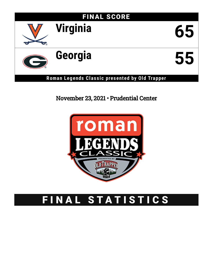

## November 23, 2021 • Prudential Center



# FINAL STATISTICS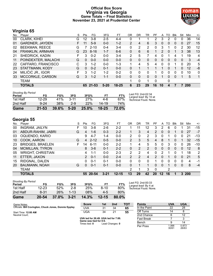### **Official Box Score Virginia vs Georgia Game Totals -- Final Statistics November 23, 2021 at Prudential Center**



### **Virginia 65**

| No. | Plaver                 | S | Pts      | FG       | 3FG      | FТ        | OR             | DR | TR             | PF       | A        | TO       | <b>B</b> lk | Stl | Min | $+/-$ |
|-----|------------------------|---|----------|----------|----------|-----------|----------------|----|----------------|----------|----------|----------|-------------|-----|-----|-------|
| 00  | <b>CLARK, KIHEI</b>    | G | 12       | $3 - 8$  | $2 - 5$  | 4-4       | 0              |    |                | 2        | 3        | 2        | 0           | 0   | 36  | 14    |
| 01  | <b>GARDNER, JAYDEN</b> |   | 11       | $5-9$    | $0 - 0$  | $1 - 2$   | $\overline{2}$ | 4  | 6              | 3        | 0        | 0        | $\Omega$    | 0   | 27  | 15    |
| 02  | <b>BEEKMAN, REECE</b>  | G |          | $2 - 10$ | $0 - 4$  | $3 - 4$   | 0              | 2  | $\overline{2}$ | 0        | 3        |          | 0           | 2   | 30  | 12    |
| 04  | FRANKLIN, ARMAAN       | G | 23       | $8 - 16$ | $1 - 7$  | $6-6$     | 0              | 6  | 6              |          | 2        | $\Omega$ |             | 3   | 38  | 13    |
| 21  | SHEDRICK, KADIN        | F | 3        | $0 - 2$  | $0 - 0$  | $3 - 4$   | 2              | 5  |                | 4        | 0        |          | 4           |     | 19  | 4     |
| 11  | POINDEXTER, MALACHI    | G | $\Omega$ | $0 - 0$  | $0 - 0$  | $0 - 0$   | 0              | 0  | 0              | 0        | 0        | $\Omega$ | $\Omega$    | 0   | 3   | $-4$  |
| 22  | CAFFARO, FRANCISCO     | С | 3        | $1 - 2$  | $0 - 0$  | $1 - 3$   |                | 4  | 5              | 4        | $\Omega$ | 0        |             | 0   | 20  | 5     |
| 23  | STATTMANN, KODY        | G | $\Omega$ | $0 - 2$  | $0 - 1$  | $0 - 0$   | 0              | 1  |                |          |          | 0        |             | 0   | 12  | -8    |
| 24  | MILIČIĆ JR., IGOR      | F | 3        | $1 - 2$  | $1 - 2$  | $0 - 2$   | 0              | 0  | 0              |          | 0        | 0        | 0           | 0   | 10  | 0     |
| 33  | MCCORKLE, CARSON       | G | 3        | $1 - 2$  | $1 - 1$  | $0 - 0$   | 0              | 0  | $\Omega$       | 0        |          | 0        | $\Omega$    |     | 5   | 1     |
|     | TEAM                   |   |          |          |          |           |                | 0  |                | $\Omega$ |          | 0        |             |     |     |       |
|     | <b>TOTALS</b>          |   | 65       | 21-53    | $5 - 20$ | $18 - 25$ | 6              | 23 | 29             | 16       | 10       | 4        |             |     | 200 |       |

| <b>Shooting By Period</b><br>Period | FG        | FG%      | 3FG      | 3FG%       | FT.       | FT%   | Last FG: 2nd-02:34<br>Largest lead: By 10 at |
|-------------------------------------|-----------|----------|----------|------------|-----------|-------|----------------------------------------------|
| 1st Half                            | $12 - 29$ | 41%      | $3 - 11$ | <b>27%</b> | 4-6       | 67%   | Technical Fouls: None.                       |
| 2nd Half                            | $9 - 24$  | 38%      | $2-9$    | 22%        | $14 - 19$ | 74%   |                                              |
| Game                                | $21 - 53$ | $39.6\%$ | $5 - 20$ | $25.0\%$   | $18 - 25$ | 72.0% |                                              |

### **Georgia 55**

| No. | Plaver                   | S | Pts | FG       | 3FG      | FТ        | OR             | DR            | TR | РF            | A        | TO | Blk      | Stl      | Min        | $+/-$ |
|-----|--------------------------|---|-----|----------|----------|-----------|----------------|---------------|----|---------------|----------|----|----------|----------|------------|-------|
| 00  | <b>INGRAM, JAILYN</b>    | F | 10  | $3 - 8$  | $2-6$    | $2 - 2$   |                | 11            | 12 | 3             | 2        | 6  | 0        |          | 31         | $-15$ |
| 01  | ABDUR-RAHIM, JABRI       | G | 4   | $1 - 6$  | $0 - 3$  | $2 - 2$   |                | 3             | 4  | 2             | 0        | 0  |          | 0        | 27         | $-7$  |
| 03  | OQUENDO, KARIO           |   | 9   | $4 - 7$  | 1-4      | $0 - 0$   | 2              | 0             | 2  | 3             | 0        |    | 0        | 0        | 21         | $-13$ |
| 10  | COOK, AARON              | G | 4   | $2 - 12$ | $0 - 5$  | $0 - 0$   | $\overline{2}$ | 3             | 5  | 4             | 8        |    | 0        |          | 32         | $-15$ |
| 23  | <b>BRIDGES, BRAELEN</b>  | F | 14  | $6 - 11$ | $0 - 0$  | $2 - 2$   |                | 4             | 5  | 5             | 0        | 3  | 0        | 0        | 26         | $-10$ |
| 04  | <b>MCMILLAN, TYRON</b>   |   | 8   | $3 - 6$  | $0 - 1$  | $2 - 2$   | 0              | 2             | 2  | 0             | 0        | 0  | $\Omega$ | $\Omega$ | 12         | 8     |
| 05  | <b>WRIGHT, CHRISTIAN</b> |   | 4   | 1-1      | $0 - 0$  | $2 - 3$   | 2              | 2             | 4  | 0             | 2        | 1  | 0        |          | 18         | 2     |
| 11  | ETTER, JAXON             |   | 2   | $0 - 1$  | $0 - 0$  | $2 - 4$   | $\overline{2}$ | $\mathcal{P}$ | 4  | $\mathcal{P}$ | $\Omega$ |    | $\Omega$ | 0        | 21         | 5     |
| 15  | RIDGNAL, DALEN           |   | 0   | $0 - 1$  | $0 - 1$  | $0 - 0$   | 0              | 0             | 0  |               | 0        | 0  | 0        | 0        | 4          | -1    |
| 20  | <b>BAUMANN, NOAH</b>     | G | 0   | $0 - 1$  | $0 - 1$  | $0 - 0$   | 0              |               |    | 0             | 0        |    | 0        | $\Omega$ | 8          | $-4$  |
|     | TEAM                     |   |     |          |          |           | 2              |               | 3  | 0             |          | 2  |          |          |            |       |
|     | <b>TOTALS</b>            |   |     | 55 20-54 | $3 - 21$ | $12 - 15$ | 13             | 29            | 42 | 20            | 12       | 16 |          | 3        | <b>200</b> |       |

| Game                                | 20-54 | 37.0% | $3 - 21$  | 14.3% | $12 - 15$ | 80.0% |              |
|-------------------------------------|-------|-------|-----------|-------|-----------|-------|--------------|
| 2nd Half                            | 8-31  | 26%   | $1 - 1.3$ | 08%   | $4-5$     | 80%   |              |
| 1st Half                            | 12-23 | 52%   | $2 - 8$   | 25%   | $8-10$    | 80%   | Tech         |
| <b>Shooting By Period</b><br>Period | FG    | FG%   | 3FG       | 3FG%  | FT        | FT%   | Last<br>Larg |

*Last FG:* 2nd-00:33 *Largest lead:* By 4 at *Technical Fouls:* None.

| Game Notes:                                           | <b>Score</b>                                                  | 1st | 2nd | TOT | <b>Points</b> | <b>UVA</b> | UC |
|-------------------------------------------------------|---------------------------------------------------------------|-----|-----|-----|---------------|------------|----|
| Officials: Bill Covington, Chuck Jones, Donnie Eppley | UVA                                                           | 31  | 34  | 65  | In the Paint  | າາ         | ົ  |
| Start Time: 12:00 AM                                  | JGA                                                           | 34  | 21  | 55  | Off Turns     | 14         |    |
| Neutral Court:                                        |                                                               |     |     |     | 2nd Chance    |            |    |
|                                                       | UVA led for 26:49. UGA led for 7:00.<br>Game was tied for 0.0 |     |     |     | Fast Break    |            |    |

**Game was tie**<br>Times tied: 0 Lead Changes: 0

| <b>Points</b>     | <b>UVA</b>     | <b>UGA</b>     |
|-------------------|----------------|----------------|
| In the Paint      | 22             | 28             |
| Off Turns         | 14             | 8              |
| 2nd Chance        | 6              | 12             |
| <b>Fast Break</b> | 7              | з              |
| Bench             | я              | 14             |
| Per Poss          | 1.066<br>30/61 | 0.873<br>26/63 |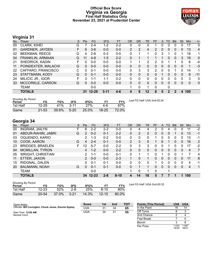### **Official Box Score Virginia vs Georgia First Half Statistics Only November 23, 2021 at Prudential Center**



### **Virginia 31**

| No. | Plaver                 | S | <b>Pts</b> | <b>FG</b> | 3FG      | <b>FT</b> | <b>OR</b>      | <b>DR</b> | <b>TR</b> | PF       | A | TO           | <b>B</b> lk | Stl      | Min      | $+/-$          |
|-----|------------------------|---|------------|-----------|----------|-----------|----------------|-----------|-----------|----------|---|--------------|-------------|----------|----------|----------------|
| 00  | CLARK, KIHEI           | G |            | $2 - 4$   | $1 - 2$  | $2 - 2$   | 0              | 0         | 0         |          | 0 | 0            | 0           | 0        | 17       | 0              |
| 01  | <b>GARDNER, JAYDEN</b> |   | 6          | $3-6$     | $0 - 0$  | $0-0$     | $\overline{2}$ | 2         | 4         | 2        | 0 | 0            | $\Omega$    | 0        | 13       | $\overline{4}$ |
| 02  | <b>BEEKMAN, REECE</b>  | G | 4          | $2 - 8$   | $0 - 3$  | $0 - 0$   | 0              |           |           | 0        | 3 |              | 0           |          | 18       | 1              |
| 04  | FRANKLIN, ARMAAN       | G | 11         | $4 - 8$   | $1 - 5$  | $2 - 2$   | 0              | 1         |           |          |   | 0            | 0           | 3        | 19       | 0              |
| 21  | SHEDRICK, KADIN        | F | $\Omega$   | $0 - 0$   | $0 - 0$  | $0 - 0$   |                | 1         | 2         | 2        | 0 |              |             | 0        | 6        | -4             |
| 11  | POINDEXTER, MALACHI    | G | $\Omega$   | $0 - 0$   | $0 - 0$  | $0 - 0$   | 0              | 0         | $\Omega$  | 0        | 0 | $\Omega$     | $\Omega$    | $\Omega$ | 1        | $-3$           |
| 22  | CAFFARO, FRANCISCO     | С | 0          | $0 - 1$   | $0 - 0$  | $0 - 0$   | $\mathbf{0}$   | 3         | 3         | 2        | 0 | 0            |             | 0        | 14       | 1              |
| 23  | STATTMANN, KODY        | G | $\Omega$   | $0 - 1$   | $0 - 0$  | $0 - 0$   | 0              | 0         | 0         | 0        |   | 0            | 0           | 0        | 8        | $-11$          |
| 24  | MILIČIĆ JR., IGOR      |   | 3          | 1-1       | $1 - 1$  | $0 - 2$   | 0              | 0         | 0         | 0        | 0 | 0            |             | $\Omega$ | 3        | 0              |
| 33  | MCCORKLE, CARSON       | G | $\Omega$   | $0 - 0$   | $0 - 0$  | $0 - 0$   | 0              | 0         | $\Omega$  | $\Omega$ | 0 | $\Omega$     | 0           | $\Omega$ | $\Omega$ | $\mathbf{0}$   |
|     | TEAM                   |   |            | $0 - 0$   |          |           |                | 0         |           | $\Omega$ |   | 0            |             |          |          |                |
|     | <b>TOTALS</b>          |   | 31         | $12 - 29$ | $3 - 11$ | $4 - 6$   | 4              | 8         | 12        | 8        | 5 | $\mathbf{2}$ | 2           | 4        | 100      |                |

| <b>Shooting By Period</b><br>Period | FG        | FG%   | 3FG      | 3FG%  | FТ        | FT%   | Last FG Half: UVA 2nd-02:34 |
|-------------------------------------|-----------|-------|----------|-------|-----------|-------|-----------------------------|
| 1st Half                            | $12 - 29$ | 41%   | $3 - 11$ | 27%   | 4-F       | 67%   |                             |
| Game                                | $21 - 53$ | 39.6% | $5 - 20$ | 25.0% | $18 - 25$ | 72.0% |                             |

### **Georgia 34**

| No. | -<br>Plaver              | S  | <b>Pts</b>     | <b>FG</b> | 3FG     | <b>FT</b> | <b>OR</b>      | <b>DR</b> | TR             | PF       | A        | TO | <b>Blk</b>     | Stl          | Min            | $+/-$        |
|-----|--------------------------|----|----------------|-----------|---------|-----------|----------------|-----------|----------------|----------|----------|----|----------------|--------------|----------------|--------------|
| 00  | <b>INGRAM, JAILYN</b>    | F  | 6              | 2-2       | $2 - 2$ | $0 - 0$   | 0              | 4         | 4              | 2        | 0        | 4  | 0              | 0            | 11             | $-2$         |
| 01  | ABDUR-RAHIM, JABRI       | G  | 2              | $0 - 2$   | $0 - 1$ | $2 - 2$   | $\Omega$       | 2         | $\overline{2}$ | 0        | 0        | 0  |                | 0            | 13             | $-1$         |
| 03  | OQUENDO, KARIO           |    | 2              | $1 - 3$   | $0 - 2$ | $0-0$     | 0              | 0         | 0              |          | 0        | 0  | 0              | 0            | 13             | -1           |
| 10  | COOK, AARON              | G  | 4              | $2 - 4$   | $0 - 1$ | $0 - 0$   | $\overline{2}$ | 3         | 5              |          | 6        |    | 0              | 0            | 16             | 2            |
| 23  | <b>BRIDGES, BRAELEN</b>  | F. | 12             | $5 - 7$   | $0 - 0$ | $2 - 2$   | 0              | 3         | 3              | 0        | 0        |    | 0              | <sup>0</sup> | 17             | $-2$         |
| 04  | <b>MCMILLAN, TYRON</b>   |    | 4              | $1 - 2$   | $0 - 0$ | $2 - 2$   | 0              | 0         | 0              | 0        | 0        | 0  | $\overline{0}$ | 0            | $\overline{4}$ | 7            |
| 05  | <b>WRIGHT, CHRISTIAN</b> |    | $\overline{2}$ | $1 - 1$   | $0 - 0$ | $0 - 1$   | 0              |           |                | o        | 1        | 0  | 0              |              | 7              | 4            |
| 11  | ETTER, JAXON             |    | $\mathcal{P}$  | $0 - 0$   | $0 - 0$ | $2 - 3$   | 1.             | 0         |                | 0        | 0        | 0  | $\mathbf{0}$   | 0            | 11             | 8            |
| 15  | RIDGNAL, DALEN           |    | 0              | $0 - 1$   | $0 - 1$ | $0 - 0$   | 0              | 0         | 0              |          | 0        | 0  | 0              | 0            | 4              | $-1$         |
| 20  | <b>BAUMANN, NOAH</b>     | G  | 0              | $0 - 1$   | $0 - 1$ | $0 - 0$   | $\Omega$       | 1         | 1              | 0        | $\Omega$ | 0  | $\Omega$       | $\Omega$     | 4              | $\mathbf{1}$ |
|     | <b>TEAM</b>              |    |                | $0 - 0$   |         |           |                | 0         |                | $\Omega$ |          |    |                |              |                |              |
|     | <b>TOTALS</b>            |    | 34             | $12 - 23$ | $2 - 8$ | $8 - 10$  | 4              | 14        | 18             | 5        |          |    |                |              | 100            |              |

| <b>Shooting By Period</b><br>Period | FG        | FG%   | 3FG      | 3FG%  | FТ        | FT%   |
|-------------------------------------|-----------|-------|----------|-------|-----------|-------|
| 1st Half                            | $12 - 23$ | 52%   | 2-8      | 25%   | 8-10      | 80%   |
| Game                                | $20 - 54$ | 37.0% | $3 - 21$ | 14.3% | $12 - 15$ | 80.0% |

*Last FG Half:* UGA 2nd-00:33

Per Poss

 $\frac{1}{1.033}$ <br>14/30

1.097 16/31

| Game Notes:                                           | <b>Score</b> | 1st | 2nd | TOT | <b>Points (This Period)</b> | UVA | <b>UGA</b> |
|-------------------------------------------------------|--------------|-----|-----|-----|-----------------------------|-----|------------|
| Officials: Bill Covington, Chuck Jones, Donnie Eppley | <b>UVA</b>   | 31  | 34  | 65  | In the Paint                | 16  | 14         |
| Start Time: 12:00 AM                                  | UGA          | 34  | 21  | 55  | Off Turns                   |     |            |
| Neutral Court:                                        |              |     |     |     | 2nd Chance                  |     |            |
|                                                       |              |     |     |     | <b>Fast Break</b>           |     |            |
|                                                       |              |     |     |     | Bench                       |     |            |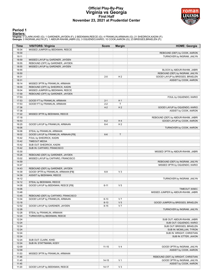### **Official Play-By-Play Virginia vs Georgia First Half November 23, 2021 at Prudential Center**



### **Period 1**

<mark>Startersː</mark><br>Virginia: 0 CLARK,KIHEI (G); 1 GARDNER,JAYDEN (F); 2 BEEKMAN,REECE (G); 4 FRANKLIN,ARMAAN (G); 21 SHEDRICK,KADIN (F);<br>**Georgia**: 0 INGRAM,JAILYN (F); 1 ABDUR-RAHIM,JABRI (G); 3 OQUENDO,KARIO; 10 COOK,AARON (G);

| Time  | <b>VISITORS: Virginia</b>            | <b>Score</b> | <b>Margin</b>  | <b>HOME: Georgia</b>                |
|-------|--------------------------------------|--------------|----------------|-------------------------------------|
| 19:34 | MISSED JUMPER by BEEKMAN, REECE      |              |                |                                     |
| 19:30 |                                      |              |                | REBOUND (DEF) by COOK, AARON        |
| 19:11 |                                      |              |                | TURNOVER by INGRAM, JAILYN          |
| 18:59 | MISSED LAYUP by GARDNER, JAYDEN      |              |                |                                     |
| 18:55 | REBOUND (OFF) by GARDNER, JAYDEN     |              |                |                                     |
| 18:55 | MISSED LAYUP by GARDNER, JAYDEN      |              |                |                                     |
| 18:55 |                                      |              |                | BLOCK by ABDUR-RAHIM, JABRI         |
| 18:50 |                                      |              |                | REBOUND (DEF) by INGRAM, JAILYN     |
| 18:31 |                                      | $2 - 0$      | H <sub>2</sub> | GOOD! LAYUP by BRIDGES, BRAELEN     |
| 18:31 |                                      |              |                | ASSIST by COOK, AARON               |
| 18:14 | MISSED 3PTR by FRANKLIN, ARMAAN      |              |                |                                     |
| 18:09 | REBOUND (OFF) by SHEDRICK, KADIN     |              |                |                                     |
| 18:04 | MISSED JUMPER by BEEKMAN, REECE      |              |                |                                     |
| 17:59 | REBOUND (OFF) by GARDNER, JAYDEN     |              |                |                                     |
| 17:53 |                                      |              |                | FOUL by OQUENDO, KARIO              |
| 17:53 | GOOD! FT by FRANKLIN, ARMAAN         | $2 - 1$      | H <sub>1</sub> |                                     |
| 17:53 | GOOD! FT by FRANKLIN, ARMAAN         | $2 - 2$      | T              |                                     |
| 17:36 |                                      | $4 - 2$      | H <sub>2</sub> | GOOD! LAYUP by OQUENDO, KARIO       |
| 17:36 |                                      |              |                | ASSIST by COOK, AARON               |
| 17:22 | MISSED 3PTR by BEEKMAN, REECE        |              |                |                                     |
| 17:18 |                                      |              |                | REBOUND (DEF) by ABDUR-RAHIM, JABRI |
| 16:53 |                                      | $6 - 2$      | H4             | GOOD! LAYUP by COOK, AARON          |
| 16:25 | GOOD! LAYUP by FRANKLIN, ARMAAN      | $6 - 4$      | H <sub>2</sub> |                                     |
| 16:06 |                                      |              |                | TURNOVER by COOK, AARON             |
| 16:06 | STEAL by FRANKLIN, ARMAAN            |              |                |                                     |
| 16:02 | GOOD! LAYUP by FRANKLIN, ARMAAN [FB] | $6-6$        | T              |                                     |
| 15:42 | FOUL by SHEDRICK, KADIN              |              |                |                                     |
| 15:42 | <b>TIMEOUT MEDIA</b>                 |              |                |                                     |
| 15:42 | SUB OUT: SHEDRICK, KADIN             |              |                |                                     |
| 15:42 | SUB IN: CAFFARO, FRANCISCO           |              |                |                                     |
| 15:30 |                                      |              |                | MISSED 3PTR by ABDUR-RAHIM, JABRI   |
| 15:26 | REBOUND (DEF) by GARDNER, JAYDEN     |              |                |                                     |
| 15:02 | MISSED LAYUP by CAFFARO, FRANCISCO   |              |                |                                     |
| 14:59 |                                      |              |                |                                     |
| 14:47 |                                      |              |                | REBOUND (DEF) by INGRAM, JAILYN     |
| 14:43 |                                      |              |                | MISSED 3PTR by OQUENDO, KARIO       |
| 14:39 | REBOUND (DEF) by GARDNER, JAYDEN     |              |                |                                     |
|       | GOOD! 3PTR by FRANKLIN, ARMAAN [FB]  | $6-9$        | $V_3$          |                                     |
| 14:39 | ASSIST by BEEKMAN, REECE             |              |                |                                     |
| 14:12 |                                      |              |                | TURNOVER by INGRAM, JAILYN          |
| 14:12 | STEAL by BEEKMAN, REECE              |              |                |                                     |
| 14:08 | GOOD! LAYUP by BEEKMAN, REECE [FB]   | $6 - 11$     | V <sub>5</sub> |                                     |
| 14:06 |                                      |              |                | <b>TIMEOUT 30SEC</b>                |
| 13:48 |                                      |              |                | MISSED JUMPER by ABDUR-RAHIM, JABRI |
| 13:45 | REBOUND (DEF) by CAFFARO, FRANCISCO  |              |                |                                     |
| 13:34 | GOOD! LAYUP by FRANKLIN, ARMAAN      | $6 - 13$     | V 7            |                                     |
| 13:18 |                                      | $8 - 13$     | V <sub>5</sub> | GOOD! JUMPER by BRIDGES, BRAELEN    |
| 12:52 | GOOD! LAYUP by GARDNER, JAYDEN       | $8 - 15$     | V <sub>7</sub> |                                     |
| 12:28 |                                      |              |                | TURNOVER by INGRAM, JAILYN          |
| 12:28 | STEAL by FRANKLIN, ARMAAN            |              |                |                                     |
| 12:24 | TURNOVER by BEEKMAN, REECE           |              |                |                                     |
| 12:24 |                                      |              |                | SUB OUT: ABDUR-RAHIM, JABRI         |
| 12:24 |                                      |              |                | SUB OUT: OQUENDO, KARIO             |
| 12:24 |                                      |              |                | SUB OUT: BRIDGES, BRAELEN           |
| 12:24 |                                      |              |                | SUB IN: MCMILLAN, TYRON             |
| 12:24 |                                      |              |                | SUB IN: WRIGHT, CHRISTIAN           |
| 12:24 |                                      |              |                | SUB IN: ETTER, JAXON                |
| 12:24 | SUB OUT: CLARK, KIHEI                |              |                |                                     |
| 12:24 | SUB IN: STATTMANN, KODY              |              |                |                                     |
| 12:09 |                                      | $11 - 15$    | V <sub>4</sub> | GOOD! 3PTR by INGRAM, JAILYN        |
| 12:09 |                                      |              |                | ASSIST by COOK, AARON               |
| 11:53 | MISSED 3PTR by FRANKLIN, ARMAAN      |              |                |                                     |
| 11:48 |                                      |              |                | REBOUND (DEF) by WRIGHT, CHRISTIAN  |
| 11:45 |                                      | $14 - 15$    | V <sub>1</sub> | GOOD! 3PTR by INGRAM, JAILYN        |
| 11:45 |                                      |              |                | ASSIST by COOK, AARON               |
| 11:20 | GOOD! LAYUP by BEEKMAN, REECE        | $14 - 17$    | $V_3$          |                                     |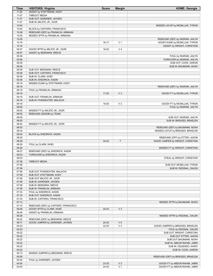| Time           | <b>VISITORS: Virginia</b>                           | <b>Score</b> | <b>Margin</b>  | <b>HOME: Georgia</b>                                               |
|----------------|-----------------------------------------------------|--------------|----------------|--------------------------------------------------------------------|
| 11:20          | ASSIST by STATTMANN, KODY                           |              |                |                                                                    |
| 11:07          | <b>TIMEOUT MEDIA</b>                                |              |                |                                                                    |
| 11:07          | SUB OUT: GARDNER, JAYDEN                            |              |                |                                                                    |
| 11:07<br>10:54 | SUB IN: MILIČIĆ JR., IGOR                           |              |                | MISSED LAYUP by MCMILLAN, TYRON                                    |
| 10:54          | BLOCK by CAFFARO, FRANCISCO                         |              |                |                                                                    |
| 10:49          | REBOUND (DEF) by FRANKLIN, ARMAAN                   |              |                |                                                                    |
| 10:30          | MISSED 3PTR by FRANKLIN, ARMAAN                     |              |                |                                                                    |
| 10:25          |                                                     |              |                | REBOUND (DEF) by INGRAM, JAILYN                                    |
| 10:16          |                                                     | $16-17$      | V <sub>1</sub> | GOOD! DUNK by MCMILLAN, TYRON                                      |
| 10:16          |                                                     |              |                | ASSIST by WRIGHT, CHRISTIAN                                        |
| 09:47          | GOOD! 3PTR by MILIČIĆ JR., IGOR                     | 16-20        | V <sub>4</sub> |                                                                    |
| 09:47          | ASSIST by BEEKMAN, REECE                            |              |                |                                                                    |
| 09:36          |                                                     |              |                | FOUL by INGRAM, JAILYN                                             |
| 09:36<br>09:36 |                                                     |              |                | TURNOVER by INGRAM, JAILYN<br>SUB OUT: COOK, AARON                 |
| 09:36          |                                                     |              |                | SUB IN: BAUMANN, NOAH                                              |
| 09:36          | SUB OUT: BEEKMAN, REECE                             |              |                |                                                                    |
| 09:36          | SUB OUT: CAFFARO, FRANCISCO                         |              |                |                                                                    |
| 09:36          | SUB IN: CLARK, KIHEI                                |              |                |                                                                    |
| 09:36          | SUB IN: SHEDRICK, KADIN                             |              |                |                                                                    |
| 09:19          | MISSED DUNK by STATTMANN, KODY                      |              |                |                                                                    |
| 09:16          |                                                     |              |                | REBOUND (DEF) by INGRAM, JAILYN                                    |
| 09:16          | FOUL by FRANKLIN, ARMAAN                            |              |                |                                                                    |
| 09:16<br>09:16 | SUB OUT: FRANKLIN, ARMAAN                           | 17-20        | $V_3$          | GOOD! FT by MCMILLAN, TYRON                                        |
| 09:16          | SUB IN: POINDEXTER, MALACHI                         |              |                |                                                                    |
| 09:16          |                                                     | 18-20        | V <sub>2</sub> | GOOD! FT by MCMILLAN, TYRON                                        |
| 08:55          |                                                     |              |                | FOUL by INGRAM, JAILYN                                             |
| 08:55          | MISSED FT by MILIČIĆ JR., IGOR                      |              |                |                                                                    |
| 08:55          | REBOUND (DEADB) by TEAM                             |              |                |                                                                    |
| 08:55          |                                                     |              |                | SUB OUT: INGRAM, JAILYN                                            |
| 08:55          |                                                     |              |                | SUB IN: BRIDGES, BRAELEN                                           |
| 08:54<br>08:53 | MISSED FT by MILIČIĆ JR., IGOR                      |              |                |                                                                    |
| 08:34          |                                                     |              |                | REBOUND (DEF) by BAUMANN, NOAH<br>MISSED LAYUP by BRIDGES, BRAELEN |
| 08:34          | BLOCK by SHEDRICK, KADIN                            |              |                |                                                                    |
| 08:30          |                                                     |              |                | REBOUND (OFF) by ETTER, JAXON                                      |
| 08:29          |                                                     | 20-20        | T              | GOOD! JUMPER by WRIGHT, CHRISTIAN                                  |
| 08:29          | FOUL by CLARK, KIHEI                                |              |                |                                                                    |
| 08:28          |                                                     |              |                | MISSED FT by WRIGHT, CHRISTIAN                                     |
| 08:27          | REBOUND (DEF) by SHEDRICK, KADIN                    |              |                |                                                                    |
| 08:03          | TURNOVER by SHEDRICK, KADIN                         |              |                |                                                                    |
| 08:03<br>07:58 | <b>TIMEOUT MEDIA</b>                                |              |                | STEAL by WRIGHT, CHRISTIAN                                         |
| 07:58          |                                                     |              |                | SUB OUT: MCMILLAN, TYRON                                           |
| 07:58          |                                                     |              |                | SUB IN: RIDGNAL, DALEN                                             |
| 07:58          | SUB OUT: POINDEXTER, MALACHI                        |              |                |                                                                    |
| 07:58          | SUB OUT: STATTMANN, KODY                            |              |                |                                                                    |
| 07:58          | SUB OUT: MILIČIĆ JR., IGOR                          |              |                |                                                                    |
| 07:58          | SUB IN: GARDNER, JAYDEN                             |              |                |                                                                    |
| 07:58          | SUB IN: BEEKMAN, REECE                              |              |                |                                                                    |
| 07:58          | SUB IN: FRANKLIN, ARMAAN                            |              |                |                                                                    |
| 07:33<br>07:33 | FOUL by SHEDRICK, KADIN<br>SUB OUT: SHEDRICK, KADIN |              |                |                                                                    |
| 07:33          | SUB IN: CAFFARO, FRANCISCO                          |              |                |                                                                    |
| 07:13          |                                                     |              |                | MISSED 3PTR by BAUMANN, NOAH                                       |
| 07:10          | REBOUND (DEF) by CAFFARO, FRANCISCO                 |              |                |                                                                    |
| 06:48          | GOOD! 3PTR by CLARK, KIHEI                          | 20-23        | $V_3$          |                                                                    |
| 06:48          | ASSIST by FRANKLIN, ARMAAN                          |              |                |                                                                    |
| 06:26          |                                                     |              |                | MISSED 3PTR by RIDGNAL, DALEN                                      |
| 06:22          | REBOUND (DEF) by BEEKMAN, REECE                     |              |                |                                                                    |
| 06:11          | GOOD! JUMPER by GARDNER, JAYDEN                     | $20 - 25$    | V <sub>5</sub> |                                                                    |
| 05:43<br>05:22 |                                                     | 22-25        | $V_3$          | GOOD! JUMPER by BRIDGES, BRAELEN<br>FOUL by RIDGNAL, DALEN         |
| 05:22          |                                                     |              |                | SUB OUT: WRIGHT, CHRISTIAN                                         |
| 05:22          |                                                     |              |                | SUB OUT: ETTER, JAXON                                              |
| 05:22          |                                                     |              |                | SUB OUT: BAUMANN, NOAH                                             |
| 05:22          |                                                     |              |                | SUB IN: ABDUR-RAHIM, JABRI                                         |
| 05:22          |                                                     |              |                | SUB IN: OQUENDO, KARIO                                             |
| 05:22          |                                                     |              |                | SUB IN: COOK, AARON                                                |
| 05:13          | MISSED JUMPER by BEEKMAN, REECE                     |              |                |                                                                    |
| 05:09          |                                                     |              |                | REBOUND (DEF) by BRIDGES, BRAELEN                                  |
| 04:54<br>04:54 | FOUL by GARDNER, JAYDEN                             | 23-25        | V <sub>2</sub> | GOOD! FT by ABDUR-RAHIM, JABRI                                     |
| 04:54          |                                                     | 24-25        | V <sub>1</sub> | GOOD! FT by ABDUR-RAHIM, JABRI                                     |
|                |                                                     |              |                |                                                                    |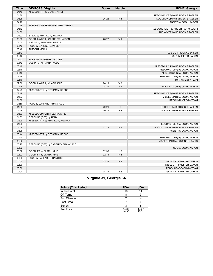| Time  | <b>VISITORS: Virginia</b>           | <b>Score</b> | <b>Margin</b>  | <b>HOME: Georgia</b>                |
|-------|-------------------------------------|--------------|----------------|-------------------------------------|
| 04:40 | MISSED 3PTR by CLARK, KIHEI         |              |                |                                     |
| 04:36 |                                     |              |                | REBOUND (DEF) by BRIDGES, BRAELEN   |
| 04:28 |                                     | 26-25        | H <sub>1</sub> | GOOD! LAYUP by BRIDGES, BRAELEN     |
| 04:28 |                                     |              |                | ASSIST by COOK, AARON               |
| 04:16 | MISSED JUMPER by GARDNER, JAYDEN    |              |                |                                     |
| 04:12 |                                     |              |                | REBOUND (DEF) by ABDUR-RAHIM, JABRI |
| 04:02 |                                     |              |                | TURNOVER by BRIDGES, BRAELEN        |
| 04:02 | STEAL by FRANKLIN, ARMAAN           |              |                |                                     |
| 03:50 | GOOD! LAYUP by GARDNER, JAYDEN      | 26-27        | V <sub>1</sub> |                                     |
| 03:50 | ASSIST by BEEKMAN, REECE            |              |                |                                     |
| 03:42 | FOUL by GARDNER, JAYDEN             |              |                |                                     |
| 03:42 | <b>TIMEOUT MEDIA</b>                |              |                |                                     |
| 03:42 |                                     |              |                | SUB OUT: RIDGNAL, DALEN             |
| 03:42 |                                     |              |                | SUB IN: ETTER, JAXON                |
| 03:42 | SUB OUT: GARDNER, JAYDEN            |              |                |                                     |
| 03:42 | SUB IN: STATTMANN, KODY             |              |                |                                     |
| 03:18 |                                     |              |                | MISSED LAYUP by BRIDGES, BRAELEN    |
| 03:16 |                                     |              |                | REBOUND (OFF) by COOK, AARON        |
| 03:16 |                                     |              |                | MISSED DUNK by COOK, AARON          |
| 03:16 |                                     |              |                | REBOUND (OFF) by COOK, AARON        |
| 03:16 |                                     |              |                | TURNOVER by TEAM                    |
| 02:56 | GOOD! LAYUP by CLARK, KIHEI         | 26-29        | $V_3$          |                                     |
| 02:45 |                                     | 28-29        | V <sub>1</sub> | GOOD! LAYUP by COOK, AARON          |
| 02:23 | MISSED 3PTR by BEEKMAN, REECE       |              |                |                                     |
| 02:19 |                                     |              |                | REBOUND (DEF) by BRIDGES, BRAELEN   |
| 01:57 |                                     |              |                | MISSED 3PTR by COOK, AARON          |
| 01:56 |                                     |              |                | REBOUND (OFF) by TEAM               |
| 01:56 | FOUL by CAFFARO, FRANCISCO          |              |                |                                     |
| 01:56 |                                     | 29-29        | $\top$         | GOOD! FT by BRIDGES, BRAELEN        |
| 01:56 |                                     | 30-29        | H <sub>1</sub> | GOOD! FT by BRIDGES, BRAELEN        |
| 01:33 | MISSED JUMPER by CLARK, KIHEI       |              |                |                                     |
| 01:33 | REBOUND (OFF) by TEAM               |              |                |                                     |
| 01:29 | MISSED 3PTR by FRANKLIN, ARMAAN     |              |                |                                     |
| 01:25 |                                     |              |                | REBOUND (DEF) by COOK, AARON        |
| 01:08 |                                     | 32-29        | $H_3$          | GOOD! JUMPER by BRIDGES, BRAELEN    |
| 01:08 |                                     |              |                | ASSIST by COOK, AARON               |
| 00:44 | MISSED 3PTR by BEEKMAN, REECE       |              |                |                                     |
| 00:40 |                                     |              |                | REBOUND (DEF) by COOK, AARON        |
| 00:32 |                                     |              |                | MISSED 3PTR by OQUENDO, KARIO       |
| 00:27 | REBOUND (DEF) by CAFFARO, FRANCISCO |              |                |                                     |
| 00:02 |                                     |              |                | FOUL by COOK, AARON                 |
| 00:02 | GOOD! FT by CLARK, KIHEI            | 32-30        | H <sub>2</sub> |                                     |
| 00:02 | GOOD! FT by CLARK, KIHEI            | $32 - 31$    | H <sub>1</sub> |                                     |
| 00:00 | FOUL by CAFFARO, FRANCISCO          |              |                |                                     |
| 00:00 |                                     | $33 - 31$    | H <sub>2</sub> | GOOD! FT by ETTER, JAXON            |
| 00:00 |                                     |              |                | MISSED FT by ETTER, JAXON           |
| 00:00 |                                     |              |                | REBOUND (DEADB) by TEAM             |
| 00:00 |                                     | 34-31        | H <sub>3</sub> | GOOD! FT by ETTER, JAXON            |

### **Virginia 31, Georgia 34**

| <b>Points (This Period)</b> | <b>UVA</b>     | <b>UGA</b>     |
|-----------------------------|----------------|----------------|
| In the Paint                | 16             | 14             |
| Off Turns                   |                |                |
| 2nd Chance                  |                |                |
| Fast Break                  |                |                |
| Bench                       |                |                |
| Per Poss                    | 1.033<br>14/30 | 1.097<br>16/31 |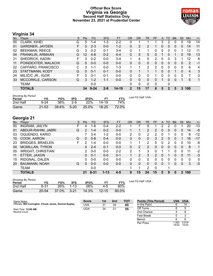### **Official Box Score Virginia vs Georgia Second Half Statistics Only November 23, 2021 at Prudential Center**



### **Virginia 34**

| No. | Plaver                 | S  | <b>Pts</b> | FG.      | 3FG     | <b>FT</b> | <b>OR</b> | <b>DR</b> | TR       | PF | A        | TO | <b>Blk</b> | Stl | Min | $+/-$        |
|-----|------------------------|----|------------|----------|---------|-----------|-----------|-----------|----------|----|----------|----|------------|-----|-----|--------------|
| 00  | CLARK, KIHEI           | G  | 5          | 1-4      | 1-3     | $2 - 2$   | 0         |           |          |    | 3        | 2  | 0          | O   | 19  | 14           |
| 01  | <b>GARDNER, JAYDEN</b> | F. | 5          | $2 - 3$  | $0 - 0$ | $1-2$     | $\Omega$  | 2         | 2        |    | 0        | 0  | $\Omega$   | 0   | 14  | 11           |
| 02  | <b>BEEKMAN, REECE</b>  | G  | 3          | $0 - 2$  | $0 - 1$ | $3-4$     | 0         |           |          | 0  | 0        | 0  | 0          |     | 12  | 11           |
| 04  | FRANKLIN, ARMAAN       | G  | 12         | $4 - 8$  | $0 - 2$ | $4 - 4$   | 0         | 5         | 5        | 0  |          | 0  |            | 0   | 19  | 13           |
| 21  | SHEDRICK, KADIN        |    | 3          | $0 - 2$  | $0 - 0$ | $3 - 4$   |           | 4         | 5        | 2  | 0        | 0  | 3          |     | 12  | 8            |
| 11  | POINDEXTER, MALACHI    | G  | $\Omega$   | $0 - 0$  | $0 - 0$ | $0 - 0$   | 0         | 0         | 0        | 0  | $\Omega$ | 0  | 0          | 0   | 2   | $-1$         |
| 22  | CAFFARO, FRANCISCO     | C. | 3          | 1-1      | $0 - 0$ | 1-3       | 1         | 1         | 2        | 2  | 0        | 0  | 0          | 0   | 6   | 4            |
| 23  | STATTMANN, KODY        | G  | $\Omega$   | $0 - 1$  | $0 - 1$ | $0 - 0$   | 0         |           |          |    | 0        | 0  |            | 0   | 4   | 3            |
| 24  | MILIČIĆ JR., IGOR      | F  | 0          | $0 - 1$  | $0 - 1$ | $0 - 0$   | 0         | 0         | O        |    | 0        | o  | 0          | 0   |     | $\Omega$     |
| 33  | MCCORKLE, CARSON       | G  | 3          | $1 - 2$  | $1 - 1$ | $0 - 0$   | $\Omega$  | 0         | $\Omega$ | 0  |          | 0  | 0          |     | 5   | $\mathbf{1}$ |
|     | <b>TEAM</b>            |    |            | $0 - 0$  |         |           | 0         | $\Omega$  | 0        | 0  |          | 0  |            |     |     |              |
|     | <b>TOTALS</b>          |    | 34         | $9 - 24$ | $2 - 9$ | 14-19     | 2         | 15        | 17       | 8  | 5        | 2  | 5          | 3   | 100 |              |

| <b>Shooting By Period</b><br>Period | FG        | FG%   | 3FG      | 3FG%  |           | FT%   | Last FG Half: UVA - |
|-------------------------------------|-----------|-------|----------|-------|-----------|-------|---------------------|
| 2nd Half                            | $9 - 24$  | 38%   | $2-9$    | 22%   | 14-19     | 74%   |                     |
| Game                                | $21 - 53$ | 39.6% | $5 - 20$ | 25.0% | $18 - 25$ | 72.0% |                     |

## **Georgia 21**

| No. | Plaver                   | S  | <b>Pts</b>    | FG       | 3FG      | <b>FT</b> | <b>OR</b> | <b>DR</b> | TR             | PF       | A        | TO       | <b>Blk</b> | Stl | Min | $+/-$ |
|-----|--------------------------|----|---------------|----------|----------|-----------|-----------|-----------|----------------|----------|----------|----------|------------|-----|-----|-------|
| 00  | <b>INGRAM, JAILYN</b>    |    | 4             | 1-6      | $0 - 4$  | $2 - 2$   |           |           | 8              |          | 2        | っ        |            |     | 20  | $-13$ |
| 01  | ABDUR-RAHIM, JABRI       | G  | $\mathcal{P}$ | $1 - 4$  | $0 - 2$  | $0 - 0$   |           |           | $\overline{2}$ |          | 0        | 0        | 0          | 0   | 14  | -6    |
| 03  | OQUENDO, KARIO           |    |               | $3 - 4$  | 1-2      | $0 - 0$   | 2         | 0         | 2              | 2        | 0        |          |            | 0   | 8   | $-12$ |
| 10  | COOK, AARON              | G  | 0             | $0 - 8$  | $0 - 4$  | $0 - 0$   | 0         | 0         | 0              | 3        | 2        | 0        | 0          |     | 16  | $-17$ |
| 23  | <b>BRIDGES, BRAELEN</b>  | F. | າ             | $1 - 4$  | $0 - 0$  | $0 - 0$   | 1         | 1         | 2              | 5        | 0        | 2        | 0          | 0   | 10  | -8    |
| 04  | <b>MCMILLAN, TYRON</b>   |    | 4             | $2 - 4$  | $0 - 1$  | $0 - 0$   | 0         | 2         | 2              | $\Omega$ | $\Omega$ | $\Omega$ | $\Omega$   | 0   | 8   | 1     |
| 05  | <b>WRIGHT, CHRISTIAN</b> |    | 2             | $0 - 0$  | $0 - 0$  | $2 - 2$   | 2         | 1         | 3              | 0        |          |          | 0          | 0   | 11  | $-2$  |
| 11  | ETTER, JAXON             |    | 0             | $0 - 1$  | $0 - 0$  | $0 - 1$   |           | 2         | 3              | 2        | 0        |          | 0          | 0   | 11  | -3    |
| 15  | RIDGNAL, DALEN           |    | 0             | $0-0$    | $0 - 0$  | $0 - 0$   | 0         | 0         | 0              | 0        | 0        | 0        | 0          | 0   | 0   | 0     |
| 20  | <b>BAUMANN, NOAH</b>     | G  | $\Omega$      | $0 - 0$  | $0 - 0$  | $0 - 0$   | 0         | 0         | $\mathbf{0}$   | $\Omega$ | 0        |          | 0          | 0   | 3   | $-5$  |
|     | <b>TEAM</b>              |    |               | $0-0$    |          |           |           | 1         | 2              | 0        |          |          |            |     |     |       |
|     | <b>TOTALS</b>            |    | 21            | $8 - 31$ | $1 - 13$ | $4 - 5$   | 9         | 15        | 24             | 15       | 5        | 9        | 0          | 2   | 100 |       |

| <b>Shooting By Period</b> |       |       |           |       |           |          |
|---------------------------|-------|-------|-----------|-------|-----------|----------|
| Period                    | FG    | FG%   | 3FG       | 3FG%  |           | FT%      |
| 2nd Half                  | 8-31  | 26%   | $1 - 1.3$ | 08%   | 4-5       | 80%      |
| Game                      | 20-54 | 37.0% | $3 - 21$  | 14.3% | $12 - 15$ | $80.0\%$ |

*Last FG Half:* UGA -

Per Poss

16/32 0.618 10/34

| Game Notes:                                           | <b>Score</b> | 1st | 2 <sub>nd</sub> | <b>TOT</b> | <b>Points (This Period)</b> | <b>UVA</b> | <b>UGA</b> |
|-------------------------------------------------------|--------------|-----|-----------------|------------|-----------------------------|------------|------------|
| Officials: Bill Covington, Chuck Jones, Donnie Eppley | UVA          | 31  | 34              | 65         | In the Paint                |            | 14         |
| Start Time: 12:00 AM                                  | <b>UGA</b>   | 34  | 21              | 55         | Off Turns                   |            |            |
| Neutral Court:                                        |              |     |                 |            | 2nd Chance                  |            |            |
|                                                       |              |     |                 |            | Fast Break                  |            |            |
|                                                       |              |     |                 |            | Bench                       |            |            |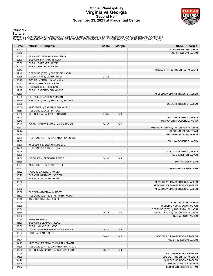### **Official Play-By-Play Virginia vs Georgia Second Half November 23, 2021 at Prudential Center**



### **Period 2**

<mark>Startersː</mark><br>Virginia: 0 CLARK,KIHEI (G); 1 GARDNER,JAYDEN (F); 2 BEEKMAN,REECE (G); 4 FRANKLIN,ARMAAN (G); 21 SHEDRICK,KADIN (F);<br>**Georgia**: 0 INGRAM,JAILYN (F); 1 ABDUR-RAHIM,JABRI (G); 3 OQUENDO,KARIO; 10 COOK,AARON (G);

| Time           | <b>VISITORS: Virginia</b>                                    | <b>Score</b> | <b>Margin</b>  | <b>HOME: Georgia</b>                |
|----------------|--------------------------------------------------------------|--------------|----------------|-------------------------------------|
| 20:00          |                                                              |              |                | SUB OUT: ETTER, JAXON               |
| 20:00          |                                                              |              |                | SUB IN: INGRAM, JAILYN              |
| 20:00          | SUB OUT: CAFFARO, FRANCISCO                                  |              |                |                                     |
| 20:00          | SUB OUT: STATTMANN, KODY                                     |              |                |                                     |
| 20:00          | SUB IN: GARDNER, JAYDEN                                      |              |                |                                     |
| 20:00          | SUB IN: SHEDRICK, KADIN                                      |              |                |                                     |
| 19:43          |                                                              |              |                | MISSED 3PTR by ABDUR-RAHIM, JABRI   |
| 19:40          | REBOUND (DEF) by SHEDRICK, KADIN                             |              |                |                                     |
| 19:28          | GOOD! 3PTR by CLARK, KIHEI                                   | 34-34        | Т              |                                     |
| 19:28          | ASSIST by FRANKLIN, ARMAAN                                   |              |                |                                     |
| 19:17          | FOUL by SHEDRICK, KADIN                                      |              |                |                                     |
| 19:17          | SUB OUT: SHEDRICK, KADIN                                     |              |                |                                     |
| 19:17          | SUB IN: CAFFARO, FRANCISCO                                   |              |                |                                     |
| 19:00          |                                                              |              |                | MISSED LAYUP by BRIDGES, BRAELEN    |
| 19:00          | BLOCK by FRANKLIN, ARMAAN                                    |              |                |                                     |
| 18:56          | REBOUND (DEF) by FRANKLIN, ARMAAN                            |              |                |                                     |
| 18:50          |                                                              |              |                | FOUL by BRIDGES, BRAELEN            |
| 18:50          | MISSED FT by CAFFARO, FRANCISCO                              |              |                |                                     |
| 18:50          | REBOUND (DEADB) by TEAM                                      |              |                |                                     |
| 18:50          | GOOD! FT by CAFFARO, FRANCISCO                               | 34-35        | V <sub>1</sub> |                                     |
| 18:40          |                                                              |              |                | FOUL by OQUENDO, KARIO              |
| 18:40          |                                                              |              |                | TURNOVER by OQUENDO, KARIO          |
| 18:15          | GOOD! JUMPER by FRANKLIN, ARMAAN                             | 34-37        | $V_3$          |                                     |
| 17:47          |                                                              |              |                | MISSED JUMPER by ABDUR-RAHIM, JABRI |
| 17:44          |                                                              |              |                | REBOUND (OFF) by TEAM               |
| 17:34          |                                                              |              |                | MISSED 3PTR by COOK, AARON          |
| 17:29          | REBOUND (DEF) by CAFFARO, FRANCISCO                          |              |                |                                     |
| 17:06          |                                                              |              |                | FOUL by OQUENDO, KARIO              |
| 17:06          | MISSED FT by BEEKMAN, REECE                                  |              |                |                                     |
| 17:06          | REBOUND (DEADB) by TEAM                                      |              |                |                                     |
| 17:06          |                                                              |              |                | SUB OUT: OQUENDO, KARIO             |
| 17:06          |                                                              |              |                | SUB IN: ETTER, JAXON                |
| 17:06          | GOOD! FT by BEEKMAN, REECE                                   | 34-38        | V <sub>4</sub> |                                     |
| 16:36          |                                                              |              |                | TURNOVER by TEAM                    |
| 16:24          | MISSED 3PTR by CLARK, KIHEI                                  |              |                |                                     |
| 16:22          |                                                              |              |                | REBOUND (DEF) by TEAM               |
| 16:22          | FOUL by GARDNER, JAYDEN                                      |              |                |                                     |
| 16:22          | SUB OUT: GARDNER, JAYDEN                                     |              |                |                                     |
| 16:22<br>16:06 | SUB IN: STATTMANN, KODY                                      |              |                |                                     |
|                |                                                              |              |                | MISSED LAYUP by BRIDGES, BRAELEN    |
| 16:02          |                                                              |              |                | REBOUND (OFF) by BRIDGES, BRAELEN   |
| 16:02<br>16:02 |                                                              |              |                | MISSED LAYUP by BRIDGES, BRAELEN    |
| 16:02          | BLOCK by STATTMANN, KODY<br>REBOUND (DEF) by STATTMANN, KODY |              |                |                                     |
| 15:45          | TURNOVER by CLARK, KIHEI                                     |              |                |                                     |
| 15:45          |                                                              |              |                | STEAL by COOK, AARON                |
| 15:38          |                                                              |              |                | MISSED LAYUP by COOK, AARON         |
| 15:34          |                                                              |              |                | REBOUND (OFF) by ABDUR-RAHIM, JABRI |
| 15:34          |                                                              | 36-38        | V <sub>2</sub> | GOOD! LAYUP by ABDUR-RAHIM, JABRI   |
| 15:30          |                                                              |              |                | FOUL by COOK, AARON                 |
| 15:30          | <b>TIMEOUT MEDIA</b>                                         |              |                |                                     |
| 15:30          | SUB OUT: BEEKMAN, REECE                                      |              |                |                                     |
| 15:30          | SUB IN: MILIČIĆ JR., IGOR                                    |              |                |                                     |
| 15:14          | GOOD! JUMPER by FRANKLIN, ARMAAN                             | 36-40        | V <sub>4</sub> |                                     |
| 15:07          | FOUL by CLARK, KIHEI                                         |              |                |                                     |
| 14:54          |                                                              | 38-40        | V <sub>2</sub> | GOOD! LAYUP by BRIDGES, BRAELEN     |
| 14:54          |                                                              |              |                | ASSIST by INGRAM, JAILYN            |
| 14:29          | MISSED JUMPER by FRANKLIN, ARMAAN                            |              |                |                                     |
| 14:26          | REBOUND (OFF) by CAFFARO, FRANCISCO                          |              |                |                                     |
| 14:26          | GOOD! LAYUP by CAFFARO, FRANCISCO                            | 38-42        | V <sub>4</sub> |                                     |
| 14:26          |                                                              |              |                | FOUL by BRIDGES, BRAELEN            |
| 14:26          |                                                              |              |                | SUB OUT: ABDUR-RAHIM, JABRI         |
| 14:26          |                                                              |              |                | SUB OUT: BRIDGES, BRAELEN           |
| 14:26          |                                                              |              |                | SUB IN: MCMILLAN, TYRON             |
| 14:26          |                                                              |              |                | SUB IN: WRIGHT, CHRISTIAN           |
|                |                                                              |              |                |                                     |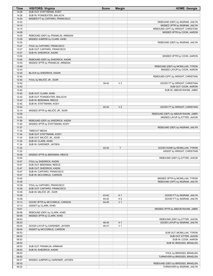| Time           | <b>VISITORS: Virginia</b>                                      | <b>Score</b> | <b>Margin</b>  | <b>HOME: Georgia</b>                |
|----------------|----------------------------------------------------------------|--------------|----------------|-------------------------------------|
| 14:26          | SUB OUT: STATTMANN, KODY                                       |              |                |                                     |
| 14:26<br>14:24 | SUB IN: POINDEXTER, MALACHI<br>MISSED FT by CAFFARO, FRANCISCO |              |                |                                     |
| 14:23          |                                                                |              |                | REBOUND (DEF) by INGRAM, JAILYN     |
| 14:14          |                                                                |              |                | MISSED 3PTR by INGRAM, JAILYN       |
| 14:10          |                                                                |              |                | REBOUND (OFF) by WRIGHT, CHRISTIAN  |
| 14:09          |                                                                |              |                | MISSED 3PTR by COOK, AARON          |
| 14:05          | REBOUND (DEF) by FRANKLIN, ARMAAN                              |              |                |                                     |
| 13:35          | MISSED JUMPER by CLARK, KIHEI                                  |              |                |                                     |
| 13:32<br>13:27 | FOUL by CAFFARO, FRANCISCO                                     |              |                | REBOUND (DEF) by INGRAM, JAILYN     |
| 13:27          | SUB OUT: CAFFARO, FRANCISCO                                    |              |                |                                     |
| 13:27          | SUB IN: SHEDRICK, KADIN                                        |              |                |                                     |
| 13:04          |                                                                |              |                | MISSED 3PTR by COOK, AARON          |
| 13:00          | REBOUND (DEF) by SHEDRICK, KADIN                               |              |                |                                     |
| 12:53          | MISSED 3PTR by FRANKLIN, ARMAAN                                |              |                |                                     |
| 12:49          |                                                                |              |                | REBOUND (DEF) by MCMILLAN, TYRON    |
| 12:43<br>12:43 |                                                                |              |                | MISSED LAYUP by COOK, AARON         |
| 12:42          | BLOCK by SHEDRICK, KADIN                                       |              |                | REBOUND (OFF) by WRIGHT, CHRISTIAN  |
| 12:42          | FOUL by MILIČIĆ JR., IGOR                                      |              |                |                                     |
| 12:42          |                                                                | 39-42        | $V_3$          | GOOD! FT by WRIGHT, CHRISTIAN       |
| 12:42          |                                                                |              |                | SUB OUT: COOK, AARON                |
| 12:42          |                                                                |              |                | SUB IN: ABDUR-RAHIM, JABRI          |
| 12:42          | SUB OUT: CLARK, KIHEI                                          |              |                |                                     |
| 12:42          | SUB OUT: POINDEXTER, MALACHI                                   |              |                |                                     |
| 12:42<br>12:42 | SUB IN: BEEKMAN, REECE<br>SUB IN: STATTMANN, KODY              |              |                |                                     |
| 12:42          |                                                                | 40-42        | V <sub>2</sub> | GOOD! FT by WRIGHT, CHRISTIAN       |
| 12:14          | MISSED 3PTR by MILIČIĆ JR., IGOR                               |              |                |                                     |
| 12:09          |                                                                |              |                | REBOUND (DEF) by ABDUR-RAHIM, JABRI |
| 12:03          |                                                                |              |                | MISSED LAYUP by ETTER, JAXON        |
| 11:59          | REBOUND (DEF) by SHEDRICK, KADIN                               |              |                |                                     |
| 11:40          | MISSED 3PTR by STATTMANN, KODY                                 |              |                |                                     |
| 11:37<br>11:34 |                                                                |              |                | REBOUND (DEF) by INGRAM, JAILYN     |
| 11:34          | <b>TIMEOUT MEDIA</b><br>SUB OUT: STATTMANN, KODY               |              |                |                                     |
| 11:34          | SUB OUT: MILIČIĆ JR., IGOR                                     |              |                |                                     |
| 11:34          | SUB IN: CLARK, KIHEI                                           |              |                |                                     |
| 11:34          | SUB IN: GARDNER, JAYDEN                                        |              |                |                                     |
| 11:22          |                                                                | 42-42        | T              | GOOD! DUNK by MCMILLAN, TYRON       |
| 11:22          |                                                                |              |                | ASSIST by WRIGHT, CHRISTIAN         |
| 10:58          | MISSED 3PTR by BEEKMAN, REECE                                  |              |                |                                     |
| 10:54<br>10:47 | FOUL by SHEDRICK, KADIN                                        |              |                | REBOUND (DEF) by ETTER, JAXON       |
| 10:47          | SUB OUT: BEEKMAN, REECE                                        |              |                |                                     |
| 10:47          | SUB OUT: SHEDRICK, KADIN                                       |              |                |                                     |
| 10:47          | SUB IN: CAFFARO, FRANCISCO                                     |              |                |                                     |
| 10:47          | SUB IN: MCCORKLE, CARSON                                       |              |                |                                     |
| 10:42          |                                                                |              |                | MISSED 3PTR by MCMILLAN, TYRON      |
| 10:39          |                                                                |              |                | REBOUND (OFF) by INGRAM, JAILYN     |
| 10:39<br>10:39 | FOUL by CAFFARO, FRANCISCO<br>SUB OUT: CAFFARO, FRANCISCO      |              |                |                                     |
| 10:39          | SUB IN: MILIČIĆ JR., IGOR                                      |              |                |                                     |
| 10:39          |                                                                | 43-42        | H <sub>1</sub> | GOOD! FT by INGRAM, JAILYN          |
| 10:39          |                                                                | 44-42        | H <sub>2</sub> | GOOD! FT by INGRAM, JAILYN          |
| 10:13          | GOOD! 3PTR by MCCORKLE, CARSON                                 | 44-45        | V <sub>1</sub> |                                     |
| 10:13          | ASSIST by CLARK, KIHEI                                         |              |                |                                     |
| 10:01          |                                                                |              |                | MISSED 3PTR by ABDUR-RAHIM, JABRI   |
| 09:58          | REBOUND (DEF) by CLARK, KIHEI                                  |              |                |                                     |
| 09:48<br>09:43 | MISSED 3PTR by CLARK, KIHEI                                    |              |                | REBOUND (DEF) by ETTER, JAXON       |
| 09:23          |                                                                | 46-45        | H <sub>1</sub> | GOOD! LAYUP by INGRAM, JAILYN       |
| 09:04          | GOOD! LAYUP by GARDNER, JAYDEN                                 | 46-47        | V <sub>1</sub> |                                     |
| 09:04          | ASSIST by MCCORKLE, CARSON                                     |              |                |                                     |
| 08:53          |                                                                |              |                | SUB OUT: MCMILLAN, TYRON            |
| 08:53          |                                                                |              |                | SUB OUT: ETTER, JAXON               |
| 08:53          |                                                                |              |                | SUB IN: COOK, AARON                 |
| 08:53          |                                                                |              |                | SUB IN: BRIDGES, BRAELEN            |
| 08:53<br>08:53 | SUB OUT: FRANKLIN, ARMAAN<br>SUB IN: SHEDRICK, KADIN           |              |                |                                     |
| 08:52          |                                                                |              |                | FOUL by BRIDGES, BRAELEN            |
| 08:52          |                                                                |              |                | TURNOVER by BRIDGES, BRAELEN        |
| 08:37          | MISSED JUMPER by GARDNER, JAYDEN                               |              |                |                                     |
| 08:33          |                                                                |              |                | REBOUND (DEF) by BRIDGES, BRAELEN   |
| 08:22          |                                                                |              |                | TURNOVER by INGRAM, JAILYN          |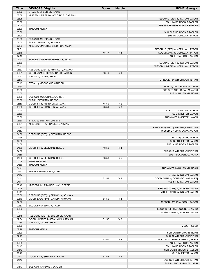| Time           | <b>VISITORS: Virginia</b>                                  | <b>Score</b> | <b>Margin</b>  | <b>HOME: Georgia</b>                                             |
|----------------|------------------------------------------------------------|--------------|----------------|------------------------------------------------------------------|
| 08:22          | STEAL by SHEDRICK, KADIN                                   |              |                |                                                                  |
| 08:08          | MISSED JUMPER by MCCORKLE, CARSON                          |              |                |                                                                  |
| 08:05          |                                                            |              |                | REBOUND (DEF) by INGRAM, JAILYN                                  |
| 08:00          |                                                            |              |                | FOUL by BRIDGES, BRAELEN                                         |
| 08:00          |                                                            |              |                | TURNOVER by BRIDGES, BRAELEN                                     |
| 08:00<br>08:00 | <b>TIMEOUT MEDIA</b>                                       |              |                | SUB OUT: BRIDGES, BRAELEN                                        |
| 08:00          |                                                            |              |                | SUB IN: MCMILLAN, TYRON                                          |
| 08:00          | SUB OUT: MILIČIĆ JR., IGOR                                 |              |                |                                                                  |
| 08:00          | SUB IN: FRANKLIN, ARMAAN                                   |              |                |                                                                  |
| 07:33          | MISSED JUMPER by SHEDRICK, KADIN                           |              |                |                                                                  |
| 07:31          |                                                            |              |                | REBOUND (DEF) by MCMILLAN, TYRON                                 |
| 07:18          |                                                            | 48-47        | H <sub>1</sub> | GOOD! DUNK by MCMILLAN, TYRON                                    |
| 07:18          |                                                            |              |                | ASSIST by COOK, AARON                                            |
| 06:53          | MISSED JUMPER by SHEDRICK, KADIN                           |              |                |                                                                  |
| 06:50          |                                                            |              |                | REBOUND (DEF) by INGRAM, JAILYN                                  |
| 06:41          |                                                            |              |                | MISSED JUMPER by MCMILLAN, TYRON                                 |
| 06:37          | REBOUND (DEF) by FRANKLIN, ARMAAN                          |              |                |                                                                  |
| 06:21          | GOOD! JUMPER by GARDNER, JAYDEN                            | 48-49        | V <sub>1</sub> |                                                                  |
| 06:21<br>06:13 | ASSIST by CLARK, KIHEI                                     |              |                | TURNOVER by WRIGHT, CHRISTIAN                                    |
| 06:13          | STEAL by MCCORKLE, CARSON                                  |              |                |                                                                  |
| 05:50          |                                                            |              |                | FOUL by ABDUR-RAHIM, JABRI                                       |
| 05:50          |                                                            |              |                | SUB OUT: ABDUR-RAHIM, JABRI                                      |
| 05:50          |                                                            |              |                | SUB IN: BAUMANN, NOAH                                            |
| 05:50          | SUB OUT: MCCORKLE, CARSON                                  |              |                |                                                                  |
| 05:50          | SUB IN: BEEKMAN, REECE                                     |              |                |                                                                  |
| 05:50          | GOOD! FT by FRANKLIN, ARMAAN                               | 48-50        | V <sub>2</sub> |                                                                  |
| 05:50          | GOOD! FT by FRANKLIN, ARMAAN                               | 48-51        | $V_3$          |                                                                  |
| 05:50          |                                                            |              |                | SUB OUT: MCMILLAN, TYRON                                         |
| 05:50          |                                                            |              |                | SUB IN: ETTER, JAXON                                             |
| 05:30          |                                                            |              |                | TURNOVER by ETTER, JAXON                                         |
| 05:30<br>05:24 | STEAL by BEEKMAN, REECE<br>MISSED 3PTR by FRANKLIN, ARMAAN |              |                |                                                                  |
| 05:20          |                                                            |              |                | REBOUND (DEF) by WRIGHT, CHRISTIAN                               |
| 04:57          |                                                            |              |                | MISSED LAYUP by COOK, AARON                                      |
| 04:56          | REBOUND (DEF) by BEEKMAN, REECE                            |              |                |                                                                  |
| 04:56          |                                                            |              |                | FOUL by COOK, AARON                                              |
| 04:56          |                                                            |              |                | SUB OUT: ETTER, JAXON                                            |
| 04:56          |                                                            |              |                | SUB IN: BRIDGES, BRAELEN                                         |
| 04:56          | GOOD! FT by BEEKMAN, REECE                                 | 48-52        | V <sub>4</sub> |                                                                  |
| 04:56          |                                                            |              |                | SUB OUT: WRIGHT, CHRISTIAN                                       |
| 04:56          |                                                            |              |                | SUB IN: OQUENDO, KARIO                                           |
| 04:56          | GOOD! FT by BEEKMAN, REECE                                 | 48-53        | V <sub>5</sub> |                                                                  |
| 04:56<br>04:56 | <b>TIMEOUT 30SEC</b>                                       |              |                |                                                                  |
| 04:41          | <b>TIMEOUT MEDIA</b>                                       |              |                | TURNOVER by BAUMANN, NOAH                                        |
| 04:17          | TURNOVER by CLARK, KIHEI                                   |              |                |                                                                  |
| 04:17          |                                                            |              |                | STEAL by INGRAM, JAILYN                                          |
| 04:11          |                                                            | 51-53        | V <sub>2</sub> | GOOD! 3PTR by OQUENDO, KARIO [FB]                                |
| 04:11          |                                                            |              |                | ASSIST by INGRAM, JAILYN                                         |
| 03:49          | MISSED LAYUP by BEEKMAN, REECE                             |              |                |                                                                  |
| 03:46          |                                                            |              |                | REBOUND (DEF) by INGRAM, JAILYN                                  |
| 03:41          |                                                            |              |                | MISSED 3PTR by INGRAM, JAILYN                                    |
| 03:36          | REBOUND (DEF) by FRANKLIN, ARMAAN                          |              |                |                                                                  |
| 03:19          | GOOD! LAYUP by FRANKLIN, ARMAAN                            | 51-55        | V <sub>4</sub> |                                                                  |
| 02:57          |                                                            |              |                | MISSED LAYUP by COOK, AARON                                      |
| 02:57          | BLOCK by SHEDRICK, KADIN                                   |              |                |                                                                  |
| 02:52<br>02:51 |                                                            |              |                | REBOUND (OFF) by OQUENDO, KARIO<br>MISSED 3PTR by INGRAM, JAILYN |
| 02:45          | REBOUND (DEF) by SHEDRICK, KADIN                           |              |                |                                                                  |
| 02:34          | GOOD! JUMPER by FRANKLIN, ARMAAN                           | 51-57        | $V_6$          |                                                                  |
| 02:34          | ASSIST by CLARK, KIHEI                                     |              |                |                                                                  |
| 02:29          |                                                            |              |                | TIMEOUT 30SEC                                                    |
| 02:29          | <b>TIMEOUT MEDIA</b>                                       |              |                |                                                                  |
| 02:29          |                                                            |              |                | SUB OUT: BAUMANN, NOAH                                           |
| 02:29          |                                                            |              |                | SUB IN: WRIGHT, CHRISTIAN                                        |
| 02:05          |                                                            | 53-57        | V <sub>4</sub> | GOOD! LAYUP by OQUENDO, KARIO                                    |
| 02:05          |                                                            |              |                | ASSIST by COOK, AARON                                            |
| 01:43          |                                                            |              |                | FOUL by BRIDGES, BRAELEN                                         |
| 01:43          |                                                            |              |                | SUB OUT: BRIDGES, BRAELEN                                        |
| 01:43<br>01:43 |                                                            | 53-58        | V <sub>5</sub> | SUB IN: ETTER, JAXON                                             |
| 01:43          | GOOD! FT by SHEDRICK, KADIN                                |              |                | SUB OUT: WRIGHT, CHRISTIAN                                       |
| 01:43          |                                                            |              |                | SUB IN: ABDUR-RAHIM, JABRI                                       |
| 01:43          | SUB OUT: GARDNER, JAYDEN                                   |              |                |                                                                  |
|                |                                                            |              |                |                                                                  |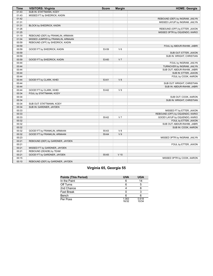| <b>Time</b> | <b>VISITORS: Virginia</b>         | <b>Score</b> | <b>Margin</b>  | <b>HOME: Georgia</b>            |
|-------------|-----------------------------------|--------------|----------------|---------------------------------|
| 01:43       | SUB IN: STATTMANN, KODY           |              |                |                                 |
| 01:43       | MISSED FT by SHEDRICK, KADIN      |              |                |                                 |
| 01:42       |                                   |              |                | REBOUND (DEF) by INGRAM, JAILYN |
| 01:31       |                                   |              |                | MISSED LAYUP by INGRAM, JAILYN  |
| 01:31       | BLOCK by SHEDRICK, KADIN          |              |                |                                 |
| 01:26       |                                   |              |                | REBOUND (OFF) by ETTER, JAXON   |
| 01:25       |                                   |              |                | MISSED 3PTR by OQUENDO, KARIO   |
| 01:19       | REBOUND (DEF) by FRANKLIN, ARMAAN |              |                |                                 |
| 01:04       | MISSED JUMPER by FRANKLIN, ARMAAN |              |                |                                 |
| 00:59       | REBOUND (OFF) by SHEDRICK, KADIN  |              |                |                                 |
| 00:59       |                                   |              |                | FOUL by ABDUR-RAHIM, JABRI      |
| 00:59       | GOOD! FT by SHEDRICK, KADIN       | 53-59        | $V_6$          |                                 |
| 00:59       |                                   |              |                | SUB OUT: ETTER, JAXON           |
| 00:59       |                                   |              |                | SUB IN: WRIGHT, CHRISTIAN       |
| 00:59       | GOOD! FT by SHEDRICK, KADIN       | 53-60        | V <sub>7</sub> |                                 |
| 00:44       |                                   |              |                | FOUL by INGRAM, JAILYN          |
| 00:44       |                                   |              |                | TURNOVER by INGRAM, JAILYN      |
| 00:44       |                                   |              |                | SUB OUT: ABDUR-RAHIM, JABRI     |
| 00:44       |                                   |              |                | SUB IN: ETTER, JAXON            |
| 00:44       |                                   |              |                |                                 |
|             |                                   |              | V8             | FOUL by COOK, AARON             |
| 00:44       | GOOD! FT by CLARK, KIHEI          | 53-61        |                |                                 |
| 00:44       |                                   |              |                | SUB OUT: WRIGHT, CHRISTIAN      |
| 00:44       |                                   |              |                | SUB IN: ABDUR-RAHIM, JABRI      |
| 00:44       | GOOD! FT by CLARK, KIHEI          | 53-62        | V <sub>9</sub> |                                 |
| 00:34       | FOUL by STATTMANN, KODY           |              |                |                                 |
| 00:34       |                                   |              |                | SUB OUT: COOK, AARON            |
| 00:34       |                                   |              |                | SUB IN: WRIGHT, CHRISTIAN       |
| 00:34       | SUB OUT: STATTMANN, KODY          |              |                |                                 |
| 00:34       | SUB IN: GARDNER, JAYDEN           |              |                |                                 |
| 00:33       |                                   |              |                | MISSED FT by ETTER, JAXON       |
| 00:33       |                                   |              |                | REBOUND (OFF) by OQUENDO, KARIO |
| 00:33       |                                   | 55-62        | V <sub>7</sub> | GOOD! LAYUP by OQUENDO, KARIO   |
| 00:32       |                                   |              |                | FOUL by ETTER, JAXON            |
| 00:32       |                                   |              |                | SUB OUT: ABDUR-RAHIM, JABRI     |
| 00:32       |                                   |              |                | SUB IN: COOK, AARON             |
| 00:32       | GOOD! FT by FRANKLIN, ARMAAN      | 55-63        | V8             |                                 |
| 00:32       | GOOD! FT by FRANKLIN, ARMAAN      | 55-64        | V <sub>9</sub> |                                 |
| 00:23       |                                   |              |                | MISSED 3PTR by INGRAM, JAILYN   |
| 00:21       | REBOUND (DEF) by GARDNER, JAYDEN  |              |                |                                 |
| 00:21       |                                   |              |                | FOUL by ETTER, JAXON            |
| 00:21       | MISSED FT by GARDNER, JAYDEN      |              |                |                                 |
| 00:21       | REBOUND (DEADB) by TEAM           |              |                |                                 |
| 00:21       | GOOD! FT by GARDNER, JAYDEN       | 55-65        | $V$ 10         |                                 |
| 00:15       |                                   |              |                | MISSED 3PTR by COOK, AARON      |
| 00:10       | REBOUND (DEF) by GARDNER, JAYDEN  |              |                |                                 |

## **Virginia 65, Georgia 55**

| <b>Points (This Period)</b> | <b>UVA</b>     | <b>UGA</b>     |
|-----------------------------|----------------|----------------|
| In the Paint                | 6              | 14             |
| Off Turns                   | հ              | 5              |
| 2nd Chance                  |                |                |
| Fast Break                  |                |                |
| Bench                       | 6              | 6              |
| Per Poss                    | 1.063<br>16/32 | 0.618<br>10/34 |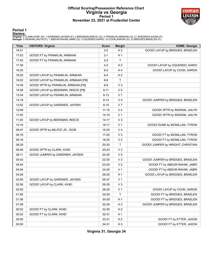### **Official Scoring/Possession Reference Chart Virginia vs Georgia Period 1 November 23, 2021 at Prudential Center**



### **Period 1**

<mark>Startersː</mark><br>Virginia: 0 CLARK,KIHEI (G); 1 GARDNER,JAYDEN (F); 2 BEEKMAN,REECE (G); 4 FRANKLIN,ARMAAN (G); 21 SHEDRICK,KADIN (F);<br>**Georgia**: 0 INGRAM,JAILYN (F); 1 ABDUR-RAHIM,JABRI (G); 3 OQUENDO,KARIO; 10 COOK,AARON (G);

| <b>Time</b> | <b>VISITORS: Virginia</b>            | <b>Score</b> | <b>Margin</b>  | <b>HOME: Georgia</b>              |
|-------------|--------------------------------------|--------------|----------------|-----------------------------------|
| 18:31       |                                      | $2 - 0$      | H <sub>2</sub> | GOOD! LAYUP by BRIDGES, BRAELEN   |
| 17:53       | GOOD! FT by FRANKLIN, ARMAAN         | $2 - 1$      | H <sub>1</sub> |                                   |
| 17:53       | GOOD! FT by FRANKLIN, ARMAAN         | $2 - 2$      | Τ              |                                   |
| 17:36       |                                      | $4 - 2$      | H <sub>2</sub> | GOOD! LAYUP by OQUENDO, KARIO     |
| 16:53       |                                      | $6 - 2$      | H4             | GOOD! LAYUP by COOK, AARON        |
| 16:25       | GOOD! LAYUP by FRANKLIN, ARMAAN      | $6 - 4$      | H <sub>2</sub> |                                   |
| 16:02       | GOOD! LAYUP by FRANKLIN, ARMAAN [FB] | $6-6$        | $\mathsf{T}$   |                                   |
| 14:39       | GOOD! 3PTR by FRANKLIN, ARMAAN [FB]  | $6-9$        | $V_3$          |                                   |
| 14:08       | GOOD! LAYUP by BEEKMAN, REECE [FB]   | $6 - 11$     | V <sub>5</sub> |                                   |
| 13:34       | GOOD! LAYUP by FRANKLIN, ARMAAN      | $6 - 13$     | V <sub>7</sub> |                                   |
| 13:18       |                                      | $8 - 13$     | V <sub>5</sub> | GOOD! JUMPER by BRIDGES, BRAELEN  |
| 12:52       | GOOD! LAYUP by GARDNER, JAYDEN       | $8 - 15$     | V <sub>7</sub> |                                   |
| 12:09       |                                      | $11 - 15$    | V <sub>4</sub> | GOOD! 3PTR by INGRAM, JAILYN      |
| 11:45       |                                      | $14 - 15$    | V <sub>1</sub> | GOOD! 3PTR by INGRAM, JAILYN      |
| 11:20       | GOOD! LAYUP by BEEKMAN, REECE        | $14 - 17$    | $V_3$          |                                   |
| 10:16       |                                      | $16 - 17$    | V <sub>1</sub> | GOOD! DUNK by MCMILLAN, TYRON     |
| 09:47       | GOOD! 3PTR by MILIČIĆ JR., IGOR      | 16-20        | V <sub>4</sub> |                                   |
| 09:16       |                                      | 17-20        | $V_3$          | GOOD! FT by MCMILLAN, TYRON       |
| 09:16       |                                      | 18-20        | V <sub>2</sub> | GOOD! FT by MCMILLAN, TYRON       |
| 08:29       |                                      | 20-20        | T              | GOOD! JUMPER by WRIGHT, CHRISTIAN |
| 06:48       | GOOD! 3PTR by CLARK, KIHEI           | 20-23        | V <sub>3</sub> |                                   |
| 06:11       | GOOD! JUMPER by GARDNER, JAYDEN      | 20-25        | V <sub>5</sub> |                                   |
| 05:43       |                                      | 22-25        | $V_3$          | GOOD! JUMPER by BRIDGES, BRAELEN  |
| 04:54       |                                      | 23-25        | V <sub>2</sub> | GOOD! FT by ABDUR-RAHIM, JABRI    |
| 04:54       |                                      | 24-25        | V <sub>1</sub> | GOOD! FT by ABDUR-RAHIM, JABRI    |
| 04:28       |                                      | 26-25        | H <sub>1</sub> | GOOD! LAYUP by BRIDGES, BRAELEN   |
| 03:50       | GOOD! LAYUP by GARDNER, JAYDEN       | 26-27        | V <sub>1</sub> |                                   |
| 02:56       | GOOD! LAYUP by CLARK, KIHEI          | 26-29        | $V_3$          |                                   |
| 02:45       |                                      | 28-29        | V <sub>1</sub> | GOOD! LAYUP by COOK, AARON        |
| 01:56       |                                      | 29-29        | $\mathsf{T}$   | GOOD! FT by BRIDGES, BRAELEN      |
| 01:56       |                                      | 30-29        | H <sub>1</sub> | GOOD! FT by BRIDGES, BRAELEN      |
| 01:08       |                                      | 32-29        | $H_3$          | GOOD! JUMPER by BRIDGES, BRAELEN  |
| 00:02       | GOOD! FT by CLARK, KIHEI             | 32-30        | H <sub>2</sub> |                                   |
| 00:02       | GOOD! FT by CLARK, KIHEI             | 32-31        | H <sub>1</sub> |                                   |
| 00:00       |                                      | 33-31        | H <sub>2</sub> | GOOD! FT by ETTER, JAXON          |
| 00:00       |                                      | 34-31        | H <sub>3</sub> | GOOD! FT by ETTER, JAXON          |

**Virginia 31, Georgia 34**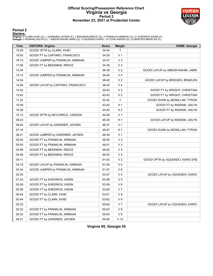### **Official Scoring/Possession Reference Chart Virginia vs Georgia Period 2 November 23, 2021 at Prudential Center**



### **Period 2**

<mark>Startersː</mark><br>Virginia: 0 CLARK,KIHEI (G); 1 GARDNER,JAYDEN (F); 2 BEEKMAN,REECE (G); 4 FRANKLIN,ARMAAN (G); 21 SHEDRICK,KADIN (F);<br>**Georgia**: 0 INGRAM,JAILYN (F); 1 ABDUR-RAHIM,JABRI (G); 3 OQUENDO,KARIO; 10 COOK,AARON (G);

| <b>Time</b> | <b>VISITORS: Virginia</b>         | <b>Score</b> | <b>Margin</b>  | <b>HOME: Georgia</b>              |
|-------------|-----------------------------------|--------------|----------------|-----------------------------------|
| 19:28       | GOOD! 3PTR by CLARK, KIHEI        | 34-34        | T              |                                   |
| 18:50       | GOOD! FT by CAFFARO, FRANCISCO    | 34-35        | V <sub>1</sub> |                                   |
| 18:15       | GOOD! JUMPER by FRANKLIN, ARMAAN  | 34-37        | $V_3$          |                                   |
| 17:06       | GOOD! FT by BEEKMAN, REECE        | 34-38        | V <sub>4</sub> |                                   |
| 15:34       |                                   | 36-38        | V <sub>2</sub> | GOOD! LAYUP by ABDUR-RAHIM, JABRI |
| 15:14       | GOOD! JUMPER by FRANKLIN, ARMAAN  | 36-40        | V <sub>4</sub> |                                   |
| 14:54       |                                   | 38-40        | V <sub>2</sub> | GOOD! LAYUP by BRIDGES, BRAELEN   |
| 14:26       | GOOD! LAYUP by CAFFARO, FRANCISCO | 38-42        | V <sub>4</sub> |                                   |
| 12:42       |                                   | 39-42        | $V_3$          | GOOD! FT by WRIGHT, CHRISTIAN     |
| 12:42       |                                   | 40-42        | V <sub>2</sub> | GOOD! FT by WRIGHT, CHRISTIAN     |
| 11:22       |                                   | 42-42        | T              | GOOD! DUNK by MCMILLAN, TYRON     |
| 10:39       |                                   | 43-42        | H <sub>1</sub> | GOOD! FT by INGRAM, JAILYN        |
| 10:39       |                                   | 44-42        | H <sub>2</sub> | GOOD! FT by INGRAM, JAILYN        |
| 10:13       | GOOD! 3PTR by MCCORKLE, CARSON    | 44-45        | V <sub>1</sub> |                                   |
| 09:23       |                                   | 46-45        | H <sub>1</sub> | GOOD! LAYUP by INGRAM, JAILYN     |
| 09:04       | GOOD! LAYUP by GARDNER, JAYDEN    | 46-47        | V <sub>1</sub> |                                   |
| 07:18       |                                   | 48-47        | H <sub>1</sub> | GOOD! DUNK by MCMILLAN, TYRON     |
| 06:21       | GOOD! JUMPER by GARDNER, JAYDEN   | 48-49        | V <sub>1</sub> |                                   |
| 05:50       | GOOD! FT by FRANKLIN, ARMAAN      | 48-50        | V <sub>2</sub> |                                   |
| 05:50       | GOOD! FT by FRANKLIN, ARMAAN      | 48-51        | $V_3$          |                                   |
| 04:56       | GOOD! FT by BEEKMAN, REECE        | 48-52        | V <sub>4</sub> |                                   |
| 04:56       | GOOD! FT by BEEKMAN, REECE        | 48-53        | V <sub>5</sub> |                                   |
| 04:11       |                                   | 51-53        | V <sub>2</sub> | GOOD! 3PTR by OQUENDO, KARIO [FB] |
| 03:19       | GOOD! LAYUP by FRANKLIN, ARMAAN   | 51-55        | V <sub>4</sub> |                                   |
| 02:34       | GOOD! JUMPER by FRANKLIN, ARMAAN  | 51-57        | $V_6$          |                                   |
| 02:05       |                                   | 53-57        | V <sub>4</sub> | GOOD! LAYUP by OQUENDO, KARIO     |
| 01:43       | GOOD! FT by SHEDRICK, KADIN       | 53-58        | V <sub>5</sub> |                                   |
| 00:59       | GOOD! FT by SHEDRICK, KADIN       | 53-59        | $V_6$          |                                   |
| 00:59       | GOOD! FT by SHEDRICK, KADIN       | 53-60        | V <sub>7</sub> |                                   |
| 00:44       | GOOD! FT by CLARK, KIHEI          | 53-61        | V8             |                                   |
| 00:44       | GOOD! FT by CLARK, KIHEI          | 53-62        | V <sub>9</sub> |                                   |
| 00:33       |                                   | 55-62        | V <sub>7</sub> | GOOD! LAYUP by OQUENDO, KARIO     |
| 00:32       | GOOD! FT by FRANKLIN, ARMAAN      | 55-63        | V8             |                                   |
| 00:32       | GOOD! FT by FRANKLIN, ARMAAN      | 55-64        | V <sub>9</sub> |                                   |
| 00:21       | GOOD! FT by GARDNER, JAYDEN       | 55-65        | $V$ 10         |                                   |

**Virginia 65, Georgia 55**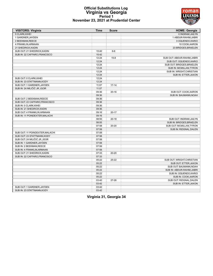### **Official Substitutions Log Virginia vs Georgia Period 1 November 23, 2021 at Prudential Center**



| 0 CLARK.KIHEI<br>0 INGRAM, JAILYN<br>1 GARDNER, JAYDEN<br>1 ABDUR-RAHIM, JABRI<br>3 OQUENDO, KARIO<br>2 BEEKMAN, REECE<br>10 COOK, AARON<br>4 FRANKLIN, ARMAAN<br>23 BRIDGES, BRAELEN<br>21 SHEDRICK, KADIN<br>SUB OUT: 21 SHEDRICK, KADIN<br>15:42<br>$6-6$<br>SUB IN: 22 CAFFARO, FRANCISCO<br>15:42<br>12:24<br>$15 - 8$<br>SUB OUT: ABDUR-RAHIM, JABRI<br>12:24<br>SUB OUT: OQUENDO, KARIO<br>12:24<br>SUB OUT: BRIDGES, BRAELEN<br>12:24<br>SUB IN: MCMILLAN, TYRON<br>12:24<br>SUB IN: WRIGHT, CHRISTIAN<br>12:24<br>SUB IN: ETTER, JAXON<br>SUB OUT: 0 CLARK, KIHEI<br>12:24<br>SUB IN: 23 STATTMANN, KODY<br>12:24<br>SUB OUT: 1 GARDNER, JAYDEN<br>11:07<br>$17 - 14$<br>SUB IN: 24 MILIČIĆ JR., IGOR<br>11:07<br>09:36<br>$20 - 16$<br>SUB OUT: COOK, AARON<br>09:36<br>SUB IN: BAUMANN, NOAH<br>SUB OUT: 2 BEEKMAN, REECE<br>09:36<br>09:36<br>SUB OUT: 22 CAFFARO, FRANCISCO<br>SUB IN: 0 CLARK, KIHEI<br>09:36<br>SUB IN: 21 SHEDRICK, KADIN<br>09:36<br>SUB OUT: 4 FRANKLIN, ARMAAN<br>09:16<br>$20 - 17$<br>SUB IN: 11 POINDEXTER, MALACHI<br>09:16<br>08:55<br>$20 - 18$<br>SUB OUT: INGRAM, JAILYN<br>08:55<br>SUB IN: BRIDGES, BRAELEN<br>20-20<br>SUB OUT: MCMILLAN, TYRON<br>07:58<br>07:58<br>SUB IN: RIDGNAL, DALEN<br>07:58<br>SUB OUT: 11 POINDEXTER, MALACHI<br>SUB OUT: 23 STATTMANN, KODY<br>07:58<br>SUB OUT: 24 MILIČIĆ JR., IGOR<br>07:58<br>SUB IN: 1 GARDNER, JAYDEN<br>07:58<br>07:58<br>SUB IN: 2 BEEKMAN, REECE<br>SUB IN: 4 FRANKLIN, ARMAAN<br>07:58<br>SUB OUT: 21 SHEDRICK, KADIN<br>07:33<br>20-20<br>SUB IN: 22 CAFFARO, FRANCISCO<br>07:33<br>05:22<br>$25 - 22$<br>SUB OUT: WRIGHT, CHRISTIAN<br>05:22<br>SUB OUT: ETTER, JAXON<br>05:22<br>SUB OUT: BAUMANN, NOAH<br>05:22<br>SUB IN: ABDUR-RAHIM, JABRI<br>05:22<br>SUB IN: OQUENDO, KARIO<br>05:22<br>SUB IN: COOK, AARON | <b>VISITORS: Virginia</b> | <b>Time</b> | <b>Score</b> | <b>HOME: Georgia</b>    |
|-------------------------------------------------------------------------------------------------------------------------------------------------------------------------------------------------------------------------------------------------------------------------------------------------------------------------------------------------------------------------------------------------------------------------------------------------------------------------------------------------------------------------------------------------------------------------------------------------------------------------------------------------------------------------------------------------------------------------------------------------------------------------------------------------------------------------------------------------------------------------------------------------------------------------------------------------------------------------------------------------------------------------------------------------------------------------------------------------------------------------------------------------------------------------------------------------------------------------------------------------------------------------------------------------------------------------------------------------------------------------------------------------------------------------------------------------------------------------------------------------------------------------------------------------------------------------------------------------------------------------------------------------------------------------------------------------------------------------------------------------------------------------------------------------------------------------|---------------------------|-------------|--------------|-------------------------|
|                                                                                                                                                                                                                                                                                                                                                                                                                                                                                                                                                                                                                                                                                                                                                                                                                                                                                                                                                                                                                                                                                                                                                                                                                                                                                                                                                                                                                                                                                                                                                                                                                                                                                                                                                                                                                         |                           |             |              |                         |
|                                                                                                                                                                                                                                                                                                                                                                                                                                                                                                                                                                                                                                                                                                                                                                                                                                                                                                                                                                                                                                                                                                                                                                                                                                                                                                                                                                                                                                                                                                                                                                                                                                                                                                                                                                                                                         |                           |             |              |                         |
|                                                                                                                                                                                                                                                                                                                                                                                                                                                                                                                                                                                                                                                                                                                                                                                                                                                                                                                                                                                                                                                                                                                                                                                                                                                                                                                                                                                                                                                                                                                                                                                                                                                                                                                                                                                                                         |                           |             |              |                         |
|                                                                                                                                                                                                                                                                                                                                                                                                                                                                                                                                                                                                                                                                                                                                                                                                                                                                                                                                                                                                                                                                                                                                                                                                                                                                                                                                                                                                                                                                                                                                                                                                                                                                                                                                                                                                                         |                           |             |              |                         |
|                                                                                                                                                                                                                                                                                                                                                                                                                                                                                                                                                                                                                                                                                                                                                                                                                                                                                                                                                                                                                                                                                                                                                                                                                                                                                                                                                                                                                                                                                                                                                                                                                                                                                                                                                                                                                         |                           |             |              |                         |
|                                                                                                                                                                                                                                                                                                                                                                                                                                                                                                                                                                                                                                                                                                                                                                                                                                                                                                                                                                                                                                                                                                                                                                                                                                                                                                                                                                                                                                                                                                                                                                                                                                                                                                                                                                                                                         |                           |             |              |                         |
|                                                                                                                                                                                                                                                                                                                                                                                                                                                                                                                                                                                                                                                                                                                                                                                                                                                                                                                                                                                                                                                                                                                                                                                                                                                                                                                                                                                                                                                                                                                                                                                                                                                                                                                                                                                                                         |                           |             |              |                         |
|                                                                                                                                                                                                                                                                                                                                                                                                                                                                                                                                                                                                                                                                                                                                                                                                                                                                                                                                                                                                                                                                                                                                                                                                                                                                                                                                                                                                                                                                                                                                                                                                                                                                                                                                                                                                                         |                           |             |              |                         |
|                                                                                                                                                                                                                                                                                                                                                                                                                                                                                                                                                                                                                                                                                                                                                                                                                                                                                                                                                                                                                                                                                                                                                                                                                                                                                                                                                                                                                                                                                                                                                                                                                                                                                                                                                                                                                         |                           |             |              |                         |
|                                                                                                                                                                                                                                                                                                                                                                                                                                                                                                                                                                                                                                                                                                                                                                                                                                                                                                                                                                                                                                                                                                                                                                                                                                                                                                                                                                                                                                                                                                                                                                                                                                                                                                                                                                                                                         |                           |             |              |                         |
|                                                                                                                                                                                                                                                                                                                                                                                                                                                                                                                                                                                                                                                                                                                                                                                                                                                                                                                                                                                                                                                                                                                                                                                                                                                                                                                                                                                                                                                                                                                                                                                                                                                                                                                                                                                                                         |                           |             |              |                         |
|                                                                                                                                                                                                                                                                                                                                                                                                                                                                                                                                                                                                                                                                                                                                                                                                                                                                                                                                                                                                                                                                                                                                                                                                                                                                                                                                                                                                                                                                                                                                                                                                                                                                                                                                                                                                                         |                           |             |              |                         |
|                                                                                                                                                                                                                                                                                                                                                                                                                                                                                                                                                                                                                                                                                                                                                                                                                                                                                                                                                                                                                                                                                                                                                                                                                                                                                                                                                                                                                                                                                                                                                                                                                                                                                                                                                                                                                         |                           |             |              |                         |
|                                                                                                                                                                                                                                                                                                                                                                                                                                                                                                                                                                                                                                                                                                                                                                                                                                                                                                                                                                                                                                                                                                                                                                                                                                                                                                                                                                                                                                                                                                                                                                                                                                                                                                                                                                                                                         |                           |             |              |                         |
|                                                                                                                                                                                                                                                                                                                                                                                                                                                                                                                                                                                                                                                                                                                                                                                                                                                                                                                                                                                                                                                                                                                                                                                                                                                                                                                                                                                                                                                                                                                                                                                                                                                                                                                                                                                                                         |                           |             |              |                         |
|                                                                                                                                                                                                                                                                                                                                                                                                                                                                                                                                                                                                                                                                                                                                                                                                                                                                                                                                                                                                                                                                                                                                                                                                                                                                                                                                                                                                                                                                                                                                                                                                                                                                                                                                                                                                                         |                           |             |              |                         |
|                                                                                                                                                                                                                                                                                                                                                                                                                                                                                                                                                                                                                                                                                                                                                                                                                                                                                                                                                                                                                                                                                                                                                                                                                                                                                                                                                                                                                                                                                                                                                                                                                                                                                                                                                                                                                         |                           |             |              |                         |
|                                                                                                                                                                                                                                                                                                                                                                                                                                                                                                                                                                                                                                                                                                                                                                                                                                                                                                                                                                                                                                                                                                                                                                                                                                                                                                                                                                                                                                                                                                                                                                                                                                                                                                                                                                                                                         |                           |             |              |                         |
|                                                                                                                                                                                                                                                                                                                                                                                                                                                                                                                                                                                                                                                                                                                                                                                                                                                                                                                                                                                                                                                                                                                                                                                                                                                                                                                                                                                                                                                                                                                                                                                                                                                                                                                                                                                                                         |                           |             |              |                         |
|                                                                                                                                                                                                                                                                                                                                                                                                                                                                                                                                                                                                                                                                                                                                                                                                                                                                                                                                                                                                                                                                                                                                                                                                                                                                                                                                                                                                                                                                                                                                                                                                                                                                                                                                                                                                                         |                           |             |              |                         |
|                                                                                                                                                                                                                                                                                                                                                                                                                                                                                                                                                                                                                                                                                                                                                                                                                                                                                                                                                                                                                                                                                                                                                                                                                                                                                                                                                                                                                                                                                                                                                                                                                                                                                                                                                                                                                         |                           |             |              |                         |
|                                                                                                                                                                                                                                                                                                                                                                                                                                                                                                                                                                                                                                                                                                                                                                                                                                                                                                                                                                                                                                                                                                                                                                                                                                                                                                                                                                                                                                                                                                                                                                                                                                                                                                                                                                                                                         |                           |             |              |                         |
|                                                                                                                                                                                                                                                                                                                                                                                                                                                                                                                                                                                                                                                                                                                                                                                                                                                                                                                                                                                                                                                                                                                                                                                                                                                                                                                                                                                                                                                                                                                                                                                                                                                                                                                                                                                                                         |                           |             |              |                         |
|                                                                                                                                                                                                                                                                                                                                                                                                                                                                                                                                                                                                                                                                                                                                                                                                                                                                                                                                                                                                                                                                                                                                                                                                                                                                                                                                                                                                                                                                                                                                                                                                                                                                                                                                                                                                                         |                           |             |              |                         |
|                                                                                                                                                                                                                                                                                                                                                                                                                                                                                                                                                                                                                                                                                                                                                                                                                                                                                                                                                                                                                                                                                                                                                                                                                                                                                                                                                                                                                                                                                                                                                                                                                                                                                                                                                                                                                         |                           |             |              |                         |
|                                                                                                                                                                                                                                                                                                                                                                                                                                                                                                                                                                                                                                                                                                                                                                                                                                                                                                                                                                                                                                                                                                                                                                                                                                                                                                                                                                                                                                                                                                                                                                                                                                                                                                                                                                                                                         |                           |             |              |                         |
|                                                                                                                                                                                                                                                                                                                                                                                                                                                                                                                                                                                                                                                                                                                                                                                                                                                                                                                                                                                                                                                                                                                                                                                                                                                                                                                                                                                                                                                                                                                                                                                                                                                                                                                                                                                                                         |                           |             |              |                         |
|                                                                                                                                                                                                                                                                                                                                                                                                                                                                                                                                                                                                                                                                                                                                                                                                                                                                                                                                                                                                                                                                                                                                                                                                                                                                                                                                                                                                                                                                                                                                                                                                                                                                                                                                                                                                                         |                           |             |              |                         |
|                                                                                                                                                                                                                                                                                                                                                                                                                                                                                                                                                                                                                                                                                                                                                                                                                                                                                                                                                                                                                                                                                                                                                                                                                                                                                                                                                                                                                                                                                                                                                                                                                                                                                                                                                                                                                         |                           |             |              |                         |
|                                                                                                                                                                                                                                                                                                                                                                                                                                                                                                                                                                                                                                                                                                                                                                                                                                                                                                                                                                                                                                                                                                                                                                                                                                                                                                                                                                                                                                                                                                                                                                                                                                                                                                                                                                                                                         |                           |             |              |                         |
|                                                                                                                                                                                                                                                                                                                                                                                                                                                                                                                                                                                                                                                                                                                                                                                                                                                                                                                                                                                                                                                                                                                                                                                                                                                                                                                                                                                                                                                                                                                                                                                                                                                                                                                                                                                                                         |                           |             |              |                         |
|                                                                                                                                                                                                                                                                                                                                                                                                                                                                                                                                                                                                                                                                                                                                                                                                                                                                                                                                                                                                                                                                                                                                                                                                                                                                                                                                                                                                                                                                                                                                                                                                                                                                                                                                                                                                                         |                           |             |              |                         |
|                                                                                                                                                                                                                                                                                                                                                                                                                                                                                                                                                                                                                                                                                                                                                                                                                                                                                                                                                                                                                                                                                                                                                                                                                                                                                                                                                                                                                                                                                                                                                                                                                                                                                                                                                                                                                         |                           |             |              |                         |
|                                                                                                                                                                                                                                                                                                                                                                                                                                                                                                                                                                                                                                                                                                                                                                                                                                                                                                                                                                                                                                                                                                                                                                                                                                                                                                                                                                                                                                                                                                                                                                                                                                                                                                                                                                                                                         |                           |             |              |                         |
|                                                                                                                                                                                                                                                                                                                                                                                                                                                                                                                                                                                                                                                                                                                                                                                                                                                                                                                                                                                                                                                                                                                                                                                                                                                                                                                                                                                                                                                                                                                                                                                                                                                                                                                                                                                                                         |                           |             |              |                         |
|                                                                                                                                                                                                                                                                                                                                                                                                                                                                                                                                                                                                                                                                                                                                                                                                                                                                                                                                                                                                                                                                                                                                                                                                                                                                                                                                                                                                                                                                                                                                                                                                                                                                                                                                                                                                                         |                           |             |              |                         |
|                                                                                                                                                                                                                                                                                                                                                                                                                                                                                                                                                                                                                                                                                                                                                                                                                                                                                                                                                                                                                                                                                                                                                                                                                                                                                                                                                                                                                                                                                                                                                                                                                                                                                                                                                                                                                         |                           |             |              |                         |
|                                                                                                                                                                                                                                                                                                                                                                                                                                                                                                                                                                                                                                                                                                                                                                                                                                                                                                                                                                                                                                                                                                                                                                                                                                                                                                                                                                                                                                                                                                                                                                                                                                                                                                                                                                                                                         |                           |             |              |                         |
|                                                                                                                                                                                                                                                                                                                                                                                                                                                                                                                                                                                                                                                                                                                                                                                                                                                                                                                                                                                                                                                                                                                                                                                                                                                                                                                                                                                                                                                                                                                                                                                                                                                                                                                                                                                                                         |                           |             |              |                         |
|                                                                                                                                                                                                                                                                                                                                                                                                                                                                                                                                                                                                                                                                                                                                                                                                                                                                                                                                                                                                                                                                                                                                                                                                                                                                                                                                                                                                                                                                                                                                                                                                                                                                                                                                                                                                                         |                           |             |              |                         |
|                                                                                                                                                                                                                                                                                                                                                                                                                                                                                                                                                                                                                                                                                                                                                                                                                                                                                                                                                                                                                                                                                                                                                                                                                                                                                                                                                                                                                                                                                                                                                                                                                                                                                                                                                                                                                         |                           |             |              |                         |
|                                                                                                                                                                                                                                                                                                                                                                                                                                                                                                                                                                                                                                                                                                                                                                                                                                                                                                                                                                                                                                                                                                                                                                                                                                                                                                                                                                                                                                                                                                                                                                                                                                                                                                                                                                                                                         |                           |             |              |                         |
|                                                                                                                                                                                                                                                                                                                                                                                                                                                                                                                                                                                                                                                                                                                                                                                                                                                                                                                                                                                                                                                                                                                                                                                                                                                                                                                                                                                                                                                                                                                                                                                                                                                                                                                                                                                                                         |                           |             |              |                         |
|                                                                                                                                                                                                                                                                                                                                                                                                                                                                                                                                                                                                                                                                                                                                                                                                                                                                                                                                                                                                                                                                                                                                                                                                                                                                                                                                                                                                                                                                                                                                                                                                                                                                                                                                                                                                                         |                           | 03:42       | $27 - 26$    | SUB OUT: RIDGNAL, DALEN |
| 03:42<br>SUB IN: ETTER, JAXON                                                                                                                                                                                                                                                                                                                                                                                                                                                                                                                                                                                                                                                                                                                                                                                                                                                                                                                                                                                                                                                                                                                                                                                                                                                                                                                                                                                                                                                                                                                                                                                                                                                                                                                                                                                           |                           |             |              |                         |
| SUB OUT: 1 GARDNER, JAYDEN<br>03:42                                                                                                                                                                                                                                                                                                                                                                                                                                                                                                                                                                                                                                                                                                                                                                                                                                                                                                                                                                                                                                                                                                                                                                                                                                                                                                                                                                                                                                                                                                                                                                                                                                                                                                                                                                                     |                           |             |              |                         |
| SUB IN: 23 STATTMANN.KODY<br>03:42                                                                                                                                                                                                                                                                                                                                                                                                                                                                                                                                                                                                                                                                                                                                                                                                                                                                                                                                                                                                                                                                                                                                                                                                                                                                                                                                                                                                                                                                                                                                                                                                                                                                                                                                                                                      |                           |             |              |                         |

**Virginia 31, Georgia 34**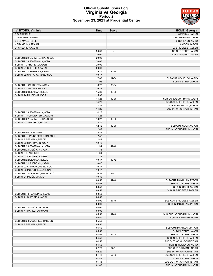### roman fеf m

### **Official Substitutions Log Virginia vs Georgia Period 2 November 23, 2021 at Prudential Center**

| <b>VISITORS: Virginia</b>                                   | <b>Time</b>    | <b>Score</b>             | <b>HOME: Georgia</b>                                     |
|-------------------------------------------------------------|----------------|--------------------------|----------------------------------------------------------|
| 0 CLARK, KIHEI                                              |                |                          | 0 INGRAM, JAILYN                                         |
| 1 GARDNER, JAYDEN                                           |                |                          | 1 ABDUR-RAHIM, JABRI                                     |
| 2 BEEKMAN, REECE                                            |                |                          | 3 OQUENDO, KARIO                                         |
| 4 FRANKLIN, ARMAAN                                          |                |                          | 10 COOK, AARON                                           |
| 21 SHEDRICK, KADIN                                          | 20:00          | $\overline{\phantom{a}}$ | 23 BRIDGES, BRAELEN<br>SUB OUT: ETTER, JAXON             |
|                                                             | 20:00          |                          | SUB IN: INGRAM, JAILYN                                   |
| SUB OUT: 22 CAFFARO, FRANCISCO                              | 20:00          |                          |                                                          |
| SUB OUT: 23 STATTMANN, KODY                                 | 20:00          |                          |                                                          |
| SUB IN: 1 GARDNER, JAYDEN                                   | 20:00          |                          |                                                          |
| SUB IN: 21 SHEDRICK, KADIN                                  | 20:00          |                          |                                                          |
| SUB OUT: 21 SHEDRICK, KADIN                                 | 19:17          | 34-34                    |                                                          |
| SUB IN: 22 CAFFARO, FRANCISCO                               | 19:17          |                          |                                                          |
|                                                             | 17:06          | 37-34                    | SUB OUT: OQUENDO, KARIO                                  |
|                                                             | 17:06          |                          | SUB IN: ETTER, JAXON                                     |
| SUB OUT: 1 GARDNER, JAYDEN                                  | 16:22          | 38-34                    |                                                          |
| SUB IN: 23 STATTMANN, KODY<br>SUB OUT: 2 BEEKMAN, REECE     | 16:22<br>15:30 | 38-36                    |                                                          |
| SUB IN: 24 MILIČIĆ JR., IGOR                                | 15:30          |                          |                                                          |
|                                                             | 14:26          | 42-38                    | SUB OUT: ABDUR-RAHIM, JABRI                              |
|                                                             | 14:26          |                          | SUB OUT: BRIDGES, BRAELEN                                |
|                                                             | 14:26          |                          | SUB IN: MCMILLAN, TYRON                                  |
|                                                             | 14:26          |                          | SUB IN: WRIGHT, CHRISTIAN                                |
| SUB OUT: 23 STATTMANN, KODY                                 | 14:26          |                          |                                                          |
| SUB IN: 11 POINDEXTER, MALACHI                              | 14:26          |                          |                                                          |
| SUB OUT: 22 CAFFARO, FRANCISCO                              | 13:27          | 42-38                    |                                                          |
| SUB IN: 21 SHEDRICK, KADIN                                  | 13:27          |                          |                                                          |
|                                                             | 12:42          | 42-39                    | SUB OUT: COOK, AARON                                     |
|                                                             | 12:42          |                          | SUB IN: ABDUR-RAHIM, JABRI                               |
| SUB OUT: 0 CLARK, KIHEI                                     | 12:42          |                          |                                                          |
| SUB OUT: 11 POINDEXTER, MALACHI<br>SUB IN: 2 BEEKMAN, REECE | 12:42<br>12:42 |                          |                                                          |
| SUB IN: 23 STATTMANN, KODY                                  | 12:42          |                          |                                                          |
| SUB OUT: 23 STATTMANN, KODY                                 | 11:34          | 42-40                    |                                                          |
| SUB OUT: 24 MILIČIĆ JR., IGOR                               | 11:34          |                          |                                                          |
| SUB IN: 0 CLARK, KIHEI                                      | 11:34          |                          |                                                          |
| SUB IN: 1 GARDNER, JAYDEN                                   | 11:34          |                          |                                                          |
| SUB OUT: 2 BEEKMAN, REECE                                   | 10:47          | 42-42                    |                                                          |
| SUB OUT: 21 SHEDRICK, KADIN                                 | 10:47          |                          |                                                          |
| SUB IN: 22 CAFFARO, FRANCISCO                               | 10:47          |                          |                                                          |
| SUB IN: 33 MCCORKLE, CARSON                                 | 10:47          |                          |                                                          |
| SUB OUT: 22 CAFFARO.FRANCISCO                               | 10:39          | 42-42                    |                                                          |
| SUB IN: 24 MILIČIĆ JR., IGOR                                | 10:39<br>08:53 | 47-46                    | SUB OUT: MCMILLAN, TYRON                                 |
|                                                             | 08:53          |                          | SUB OUT: ETTER, JAXON                                    |
|                                                             | 08:53          |                          | SUB IN: COOK, AARON                                      |
|                                                             | 08:53          |                          | SUB IN: BRIDGES, BRAELEN                                 |
| SUB OUT: 4 FRANKLIN, ARMAAN                                 | 08:53          |                          |                                                          |
| SUB IN: 21 SHEDRICK, KADIN                                  | 08:53          |                          |                                                          |
|                                                             | 08:00          | 47-46                    | SUB OUT: BRIDGES, BRAELEN                                |
|                                                             | 08:00          |                          | SUB IN: MCMILLAN, TYRON                                  |
| SUB OUT: 24 MILIČIĆ JR., IGOR                               | 08:00          |                          |                                                          |
| SUB IN: 4 FRANKLIN, ARMAAN                                  | 08:00          |                          |                                                          |
|                                                             | 05:50          | 49-48                    | SUB OUT: ABDUR-RAHIM, JABRI                              |
|                                                             | 05:50          |                          | SUB IN: BAUMANN, NOAH                                    |
| SUB OUT: 33 MCCORKLE, CARSON<br>SUB IN: 2 BEEKMAN, REECE    | 05:50<br>05:50 |                          |                                                          |
|                                                             | 05:50          |                          | SUB OUT: MCMILLAN, TYRON                                 |
|                                                             | 05:50          |                          | SUB IN: ETTER, JAXON                                     |
|                                                             | 04:56          | 51-48                    | SUB OUT: ETTER, JAXON                                    |
|                                                             | 04:56          |                          | SUB IN: BRIDGES, BRAELEN                                 |
|                                                             | 04:56          |                          | SUB OUT: WRIGHT, CHRISTIAN                               |
|                                                             | 04:56          |                          | SUB IN: OQUENDO, KARIO                                   |
|                                                             | 02:29          | 57-51                    | SUB OUT: BAUMANN, NOAH                                   |
|                                                             | 02:29          |                          | SUB IN: WRIGHT, CHRISTIAN                                |
|                                                             | 01:43          | 57-53                    | SUB OUT: BRIDGES, BRAELEN                                |
|                                                             | 01:43          |                          | SUB IN: ETTER, JAXON                                     |
|                                                             | 01:43<br>01:43 |                          | SUB OUT: WRIGHT, CHRISTIAN<br>SUB IN: ABDUR-RAHIM, JABRI |
|                                                             |                |                          |                                                          |